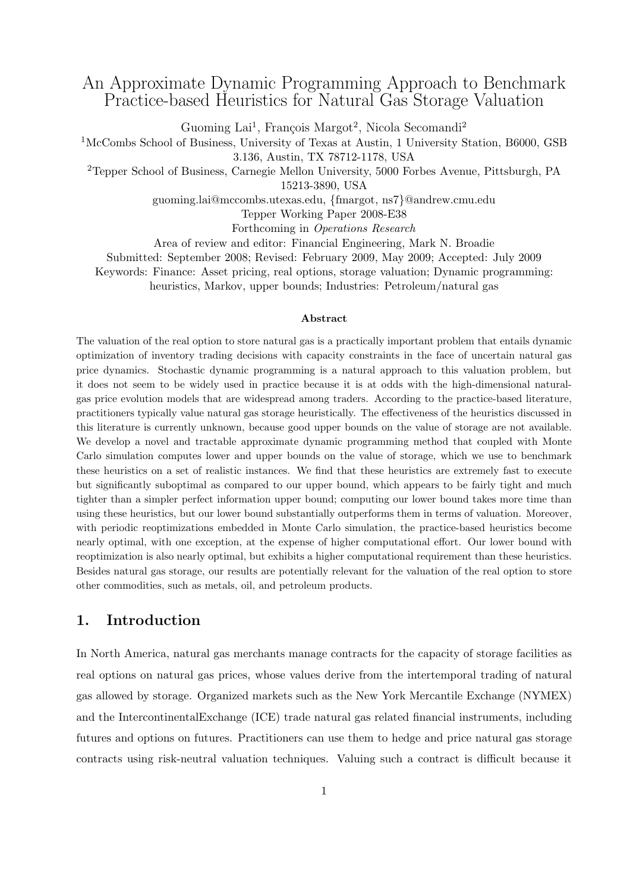# An Approximate Dynamic Programming Approach to Benchmark Practice-based Heuristics for Natural Gas Storage Valuation

Guoming Lai<sup>1</sup>, François Margot<sup>2</sup>, Nicola Secomandi<sup>2</sup>

<sup>1</sup>McCombs School of Business, University of Texas at Austin, 1 University Station, B6000, GSB 3.136, Austin, TX 78712-1178, USA

<sup>2</sup>Tepper School of Business, Carnegie Mellon University, 5000 Forbes Avenue, Pittsburgh, PA 15213-3890, USA

guoming.lai@mccombs.utexas.edu, {fmargot, ns7}@andrew.cmu.edu

Tepper Working Paper 2008-E38

Forthcoming in Operations Research

Area of review and editor: Financial Engineering, Mark N. Broadie

Submitted: September 2008; Revised: February 2009, May 2009; Accepted: July 2009

Keywords: Finance: Asset pricing, real options, storage valuation; Dynamic programming:

heuristics, Markov, upper bounds; Industries: Petroleum/natural gas

#### Abstract

The valuation of the real option to store natural gas is a practically important problem that entails dynamic optimization of inventory trading decisions with capacity constraints in the face of uncertain natural gas price dynamics. Stochastic dynamic programming is a natural approach to this valuation problem, but it does not seem to be widely used in practice because it is at odds with the high-dimensional naturalgas price evolution models that are widespread among traders. According to the practice-based literature, practitioners typically value natural gas storage heuristically. The effectiveness of the heuristics discussed in this literature is currently unknown, because good upper bounds on the value of storage are not available. We develop a novel and tractable approximate dynamic programming method that coupled with Monte Carlo simulation computes lower and upper bounds on the value of storage, which we use to benchmark these heuristics on a set of realistic instances. We find that these heuristics are extremely fast to execute but significantly suboptimal as compared to our upper bound, which appears to be fairly tight and much tighter than a simpler perfect information upper bound; computing our lower bound takes more time than using these heuristics, but our lower bound substantially outperforms them in terms of valuation. Moreover, with periodic reoptimizations embedded in Monte Carlo simulation, the practice-based heuristics become nearly optimal, with one exception, at the expense of higher computational effort. Our lower bound with reoptimization is also nearly optimal, but exhibits a higher computational requirement than these heuristics. Besides natural gas storage, our results are potentially relevant for the valuation of the real option to store other commodities, such as metals, oil, and petroleum products.

## 1. Introduction

In North America, natural gas merchants manage contracts for the capacity of storage facilities as real options on natural gas prices, whose values derive from the intertemporal trading of natural gas allowed by storage. Organized markets such as the New York Mercantile Exchange (NYMEX) and the IntercontinentalExchange (ICE) trade natural gas related financial instruments, including futures and options on futures. Practitioners can use them to hedge and price natural gas storage contracts using risk-neutral valuation techniques. Valuing such a contract is difficult because it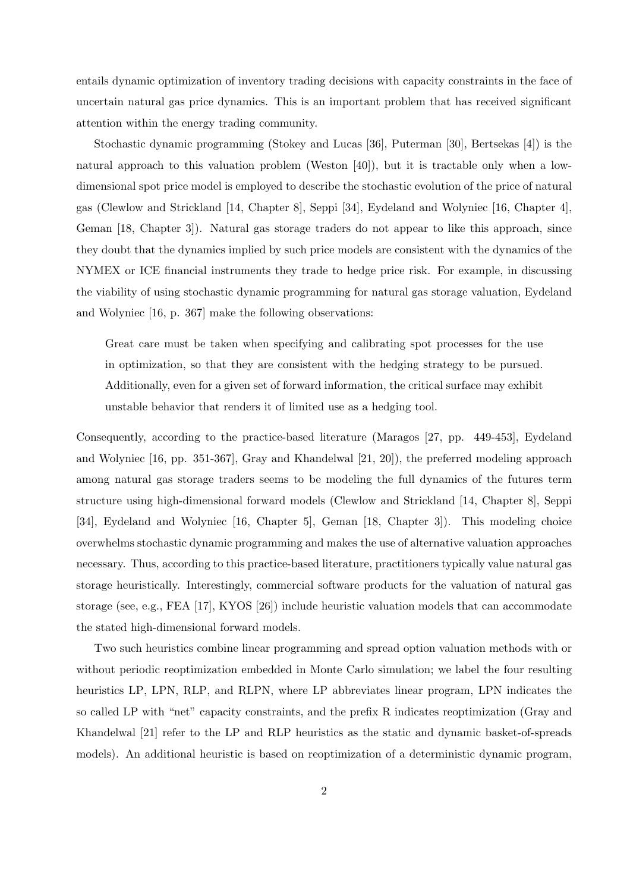entails dynamic optimization of inventory trading decisions with capacity constraints in the face of uncertain natural gas price dynamics. This is an important problem that has received significant attention within the energy trading community.

Stochastic dynamic programming (Stokey and Lucas [36], Puterman [30], Bertsekas [4]) is the natural approach to this valuation problem (Weston [40]), but it is tractable only when a lowdimensional spot price model is employed to describe the stochastic evolution of the price of natural gas (Clewlow and Strickland [14, Chapter 8], Seppi [34], Eydeland and Wolyniec [16, Chapter 4], Geman [18, Chapter 3]). Natural gas storage traders do not appear to like this approach, since they doubt that the dynamics implied by such price models are consistent with the dynamics of the NYMEX or ICE financial instruments they trade to hedge price risk. For example, in discussing the viability of using stochastic dynamic programming for natural gas storage valuation, Eydeland and Wolyniec [16, p. 367] make the following observations:

Great care must be taken when specifying and calibrating spot processes for the use in optimization, so that they are consistent with the hedging strategy to be pursued. Additionally, even for a given set of forward information, the critical surface may exhibit unstable behavior that renders it of limited use as a hedging tool.

Consequently, according to the practice-based literature (Maragos [27, pp. 449-453], Eydeland and Wolyniec [16, pp. 351-367], Gray and Khandelwal [21, 20]), the preferred modeling approach among natural gas storage traders seems to be modeling the full dynamics of the futures term structure using high-dimensional forward models (Clewlow and Strickland [14, Chapter 8], Seppi [34], Eydeland and Wolyniec [16, Chapter 5], Geman [18, Chapter 3]). This modeling choice overwhelms stochastic dynamic programming and makes the use of alternative valuation approaches necessary. Thus, according to this practice-based literature, practitioners typically value natural gas storage heuristically. Interestingly, commercial software products for the valuation of natural gas storage (see, e.g., FEA [17], KYOS [26]) include heuristic valuation models that can accommodate the stated high-dimensional forward models.

Two such heuristics combine linear programming and spread option valuation methods with or without periodic reoptimization embedded in Monte Carlo simulation; we label the four resulting heuristics LP, LPN, RLP, and RLPN, where LP abbreviates linear program, LPN indicates the so called LP with "net" capacity constraints, and the prefix R indicates reoptimization (Gray and Khandelwal [21] refer to the LP and RLP heuristics as the static and dynamic basket-of-spreads models). An additional heuristic is based on reoptimization of a deterministic dynamic program,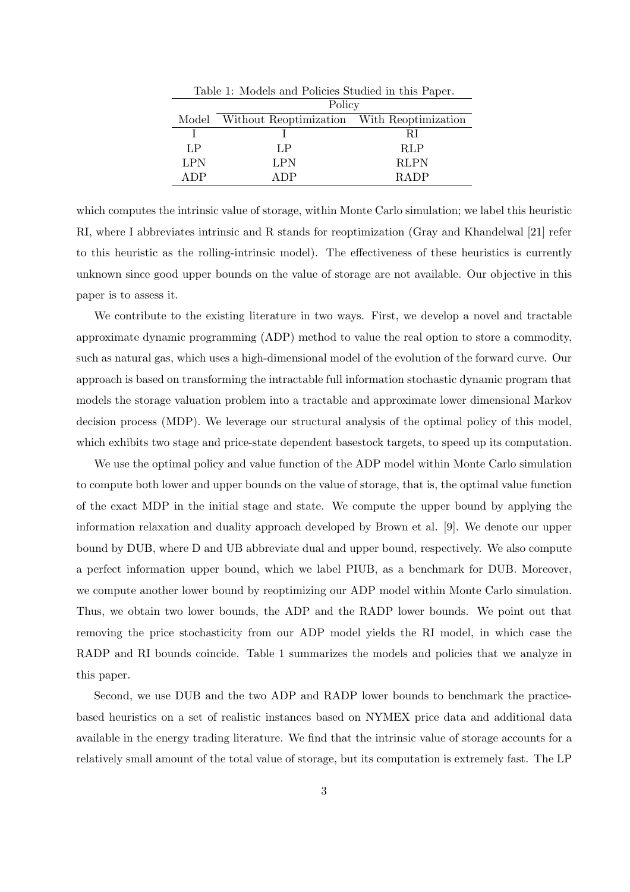|             | Table 1. Models and I sheles beauted in this I aper. |             |  |  |  |  |  |  |  |
|-------------|------------------------------------------------------|-------------|--|--|--|--|--|--|--|
|             | Policy                                               |             |  |  |  |  |  |  |  |
|             | Model Without Reoptimization With Reoptimization     |             |  |  |  |  |  |  |  |
|             |                                                      | RІ          |  |  |  |  |  |  |  |
| $L_{\rm P}$ | LP                                                   | <b>RLP</b>  |  |  |  |  |  |  |  |
| <b>LPN</b>  | LPN                                                  | <b>RLPN</b> |  |  |  |  |  |  |  |
| A DP        | ADP                                                  | RADP        |  |  |  |  |  |  |  |

Table 1: Models and Policies Studied in this Paper.

which computes the intrinsic value of storage, within Monte Carlo simulation; we label this heuristic RI, where I abbreviates intrinsic and R stands for reoptimization (Gray and Khandelwal [21] refer to this heuristic as the rolling-intrinsic model). The effectiveness of these heuristics is currently unknown since good upper bounds on the value of storage are not available. Our objective in this paper is to assess it.

We contribute to the existing literature in two ways. First, we develop a novel and tractable approximate dynamic programming (ADP) method to value the real option to store a commodity, such as natural gas, which uses a high-dimensional model of the evolution of the forward curve. Our approach is based on transforming the intractable full information stochastic dynamic program that models the storage valuation problem into a tractable and approximate lower dimensional Markov decision process (MDP). We leverage our structural analysis of the optimal policy of this model, which exhibits two stage and price-state dependent basestock targets, to speed up its computation.

We use the optimal policy and value function of the ADP model within Monte Carlo simulation to compute both lower and upper bounds on the value of storage, that is, the optimal value function of the exact MDP in the initial stage and state. We compute the upper bound by applying the information relaxation and duality approach developed by Brown et al. [9]. We denote our upper bound by DUB, where D and UB abbreviate dual and upper bound, respectively. We also compute a perfect information upper bound, which we label PIUB, as a benchmark for DUB. Moreover, we compute another lower bound by reoptimizing our ADP model within Monte Carlo simulation. Thus, we obtain two lower bounds, the ADP and the RADP lower bounds. We point out that removing the price stochasticity from our ADP model yields the RI model, in which case the RADP and RI bounds coincide. Table 1 summarizes the models and policies that we analyze in this paper.

Second, we use DUB and the two ADP and RADP lower bounds to benchmark the practicebased heuristics on a set of realistic instances based on NYMEX price data and additional data available in the energy trading literature. We find that the intrinsic value of storage accounts for a relatively small amount of the total value of storage, but its computation is extremely fast. The LP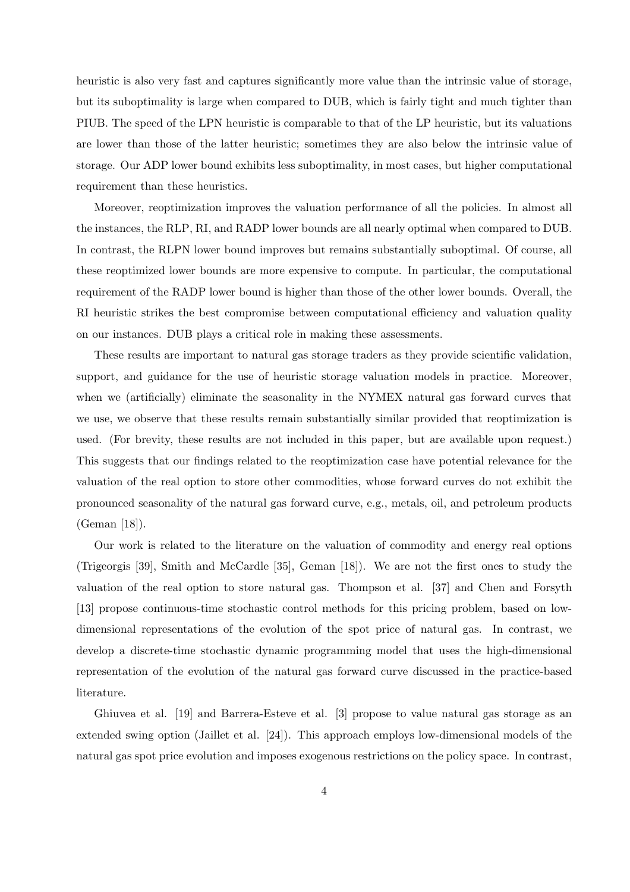heuristic is also very fast and captures significantly more value than the intrinsic value of storage, but its suboptimality is large when compared to DUB, which is fairly tight and much tighter than PIUB. The speed of the LPN heuristic is comparable to that of the LP heuristic, but its valuations are lower than those of the latter heuristic; sometimes they are also below the intrinsic value of storage. Our ADP lower bound exhibits less suboptimality, in most cases, but higher computational requirement than these heuristics.

Moreover, reoptimization improves the valuation performance of all the policies. In almost all the instances, the RLP, RI, and RADP lower bounds are all nearly optimal when compared to DUB. In contrast, the RLPN lower bound improves but remains substantially suboptimal. Of course, all these reoptimized lower bounds are more expensive to compute. In particular, the computational requirement of the RADP lower bound is higher than those of the other lower bounds. Overall, the RI heuristic strikes the best compromise between computational efficiency and valuation quality on our instances. DUB plays a critical role in making these assessments.

These results are important to natural gas storage traders as they provide scientific validation, support, and guidance for the use of heuristic storage valuation models in practice. Moreover, when we (artificially) eliminate the seasonality in the NYMEX natural gas forward curves that we use, we observe that these results remain substantially similar provided that reoptimization is used. (For brevity, these results are not included in this paper, but are available upon request.) This suggests that our findings related to the reoptimization case have potential relevance for the valuation of the real option to store other commodities, whose forward curves do not exhibit the pronounced seasonality of the natural gas forward curve, e.g., metals, oil, and petroleum products (Geman [18]).

Our work is related to the literature on the valuation of commodity and energy real options (Trigeorgis [39], Smith and McCardle [35], Geman [18]). We are not the first ones to study the valuation of the real option to store natural gas. Thompson et al. [37] and Chen and Forsyth [13] propose continuous-time stochastic control methods for this pricing problem, based on lowdimensional representations of the evolution of the spot price of natural gas. In contrast, we develop a discrete-time stochastic dynamic programming model that uses the high-dimensional representation of the evolution of the natural gas forward curve discussed in the practice-based literature.

Ghiuvea et al. [19] and Barrera-Esteve et al. [3] propose to value natural gas storage as an extended swing option (Jaillet et al. [24]). This approach employs low-dimensional models of the natural gas spot price evolution and imposes exogenous restrictions on the policy space. In contrast,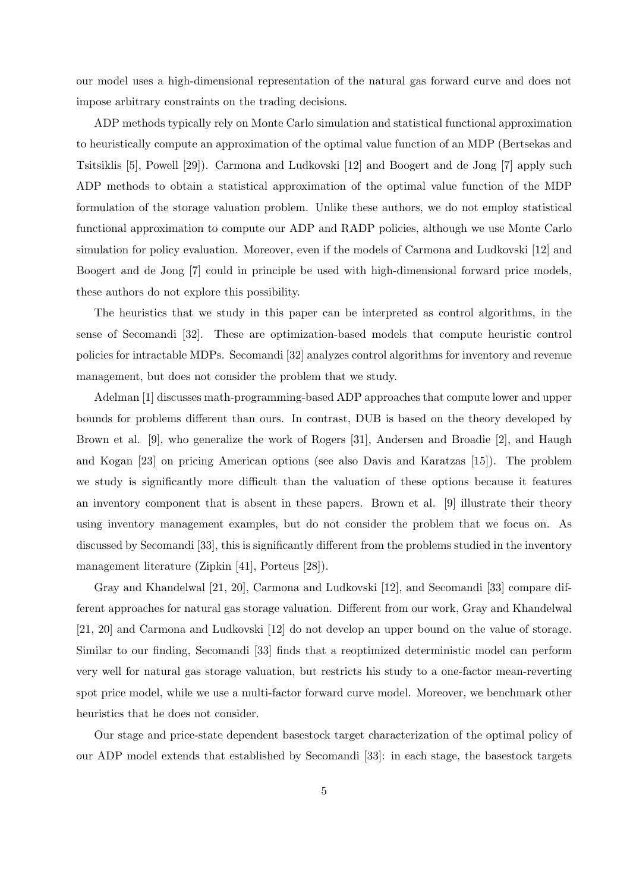our model uses a high-dimensional representation of the natural gas forward curve and does not impose arbitrary constraints on the trading decisions.

ADP methods typically rely on Monte Carlo simulation and statistical functional approximation to heuristically compute an approximation of the optimal value function of an MDP (Bertsekas and Tsitsiklis [5], Powell [29]). Carmona and Ludkovski [12] and Boogert and de Jong [7] apply such ADP methods to obtain a statistical approximation of the optimal value function of the MDP formulation of the storage valuation problem. Unlike these authors, we do not employ statistical functional approximation to compute our ADP and RADP policies, although we use Monte Carlo simulation for policy evaluation. Moreover, even if the models of Carmona and Ludkovski [12] and Boogert and de Jong [7] could in principle be used with high-dimensional forward price models, these authors do not explore this possibility.

The heuristics that we study in this paper can be interpreted as control algorithms, in the sense of Secomandi [32]. These are optimization-based models that compute heuristic control policies for intractable MDPs. Secomandi [32] analyzes control algorithms for inventory and revenue management, but does not consider the problem that we study.

Adelman [1] discusses math-programming-based ADP approaches that compute lower and upper bounds for problems different than ours. In contrast, DUB is based on the theory developed by Brown et al. [9], who generalize the work of Rogers [31], Andersen and Broadie [2], and Haugh and Kogan [23] on pricing American options (see also Davis and Karatzas [15]). The problem we study is significantly more difficult than the valuation of these options because it features an inventory component that is absent in these papers. Brown et al. [9] illustrate their theory using inventory management examples, but do not consider the problem that we focus on. As discussed by Secomandi [33], this is significantly different from the problems studied in the inventory management literature (Zipkin [41], Porteus [28]).

Gray and Khandelwal [21, 20], Carmona and Ludkovski [12], and Secomandi [33] compare different approaches for natural gas storage valuation. Different from our work, Gray and Khandelwal [21, 20] and Carmona and Ludkovski [12] do not develop an upper bound on the value of storage. Similar to our finding, Secomandi [33] finds that a reoptimized deterministic model can perform very well for natural gas storage valuation, but restricts his study to a one-factor mean-reverting spot price model, while we use a multi-factor forward curve model. Moreover, we benchmark other heuristics that he does not consider.

Our stage and price-state dependent basestock target characterization of the optimal policy of our ADP model extends that established by Secomandi [33]: in each stage, the basestock targets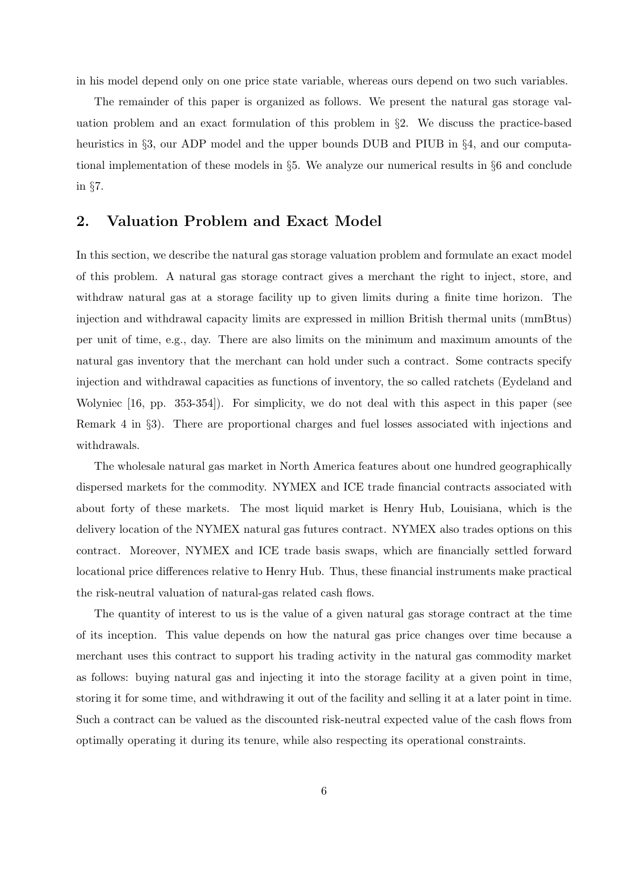in his model depend only on one price state variable, whereas ours depend on two such variables.

The remainder of this paper is organized as follows. We present the natural gas storage valuation problem and an exact formulation of this problem in §2. We discuss the practice-based heuristics in §3, our ADP model and the upper bounds DUB and PIUB in §4, and our computational implementation of these models in §5. We analyze our numerical results in §6 and conclude in §7.

## 2. Valuation Problem and Exact Model

In this section, we describe the natural gas storage valuation problem and formulate an exact model of this problem. A natural gas storage contract gives a merchant the right to inject, store, and withdraw natural gas at a storage facility up to given limits during a finite time horizon. The injection and withdrawal capacity limits are expressed in million British thermal units (mmBtus) per unit of time, e.g., day. There are also limits on the minimum and maximum amounts of the natural gas inventory that the merchant can hold under such a contract. Some contracts specify injection and withdrawal capacities as functions of inventory, the so called ratchets (Eydeland and Wolyniec [16, pp. 353-354]). For simplicity, we do not deal with this aspect in this paper (see Remark 4 in §3). There are proportional charges and fuel losses associated with injections and withdrawals.

The wholesale natural gas market in North America features about one hundred geographically dispersed markets for the commodity. NYMEX and ICE trade financial contracts associated with about forty of these markets. The most liquid market is Henry Hub, Louisiana, which is the delivery location of the NYMEX natural gas futures contract. NYMEX also trades options on this contract. Moreover, NYMEX and ICE trade basis swaps, which are financially settled forward locational price differences relative to Henry Hub. Thus, these financial instruments make practical the risk-neutral valuation of natural-gas related cash flows.

The quantity of interest to us is the value of a given natural gas storage contract at the time of its inception. This value depends on how the natural gas price changes over time because a merchant uses this contract to support his trading activity in the natural gas commodity market as follows: buying natural gas and injecting it into the storage facility at a given point in time, storing it for some time, and withdrawing it out of the facility and selling it at a later point in time. Such a contract can be valued as the discounted risk-neutral expected value of the cash flows from optimally operating it during its tenure, while also respecting its operational constraints.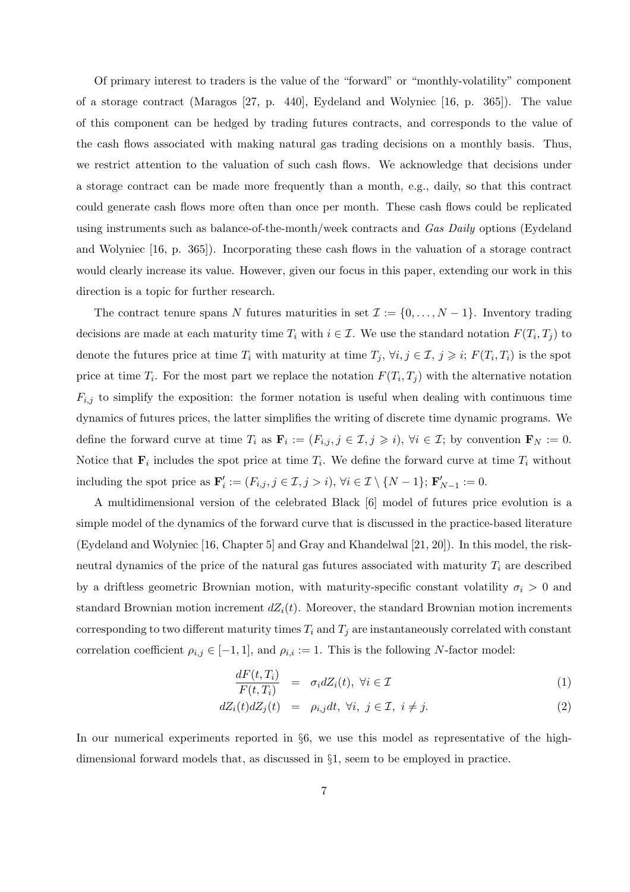Of primary interest to traders is the value of the "forward" or "monthly-volatility" component of a storage contract (Maragos [27, p. 440], Eydeland and Wolyniec [16, p. 365]). The value of this component can be hedged by trading futures contracts, and corresponds to the value of the cash flows associated with making natural gas trading decisions on a monthly basis. Thus, we restrict attention to the valuation of such cash flows. We acknowledge that decisions under a storage contract can be made more frequently than a month, e.g., daily, so that this contract could generate cash flows more often than once per month. These cash flows could be replicated using instruments such as balance-of-the-month/week contracts and Gas Daily options (Eydeland and Wolyniec [16, p. 365]). Incorporating these cash flows in the valuation of a storage contract would clearly increase its value. However, given our focus in this paper, extending our work in this direction is a topic for further research.

The contract tenure spans N futures maturities in set  $\mathcal{I} := \{0, \ldots, N-1\}$ . Inventory trading decisions are made at each maturity time  $T_i$  with  $i \in \mathcal{I}$ . We use the standard notation  $F(T_i, T_j)$  to denote the futures price at time  $T_i$  with maturity at time  $T_j$ ,  $\forall i, j \in \mathcal{I}, j \geqslant i$ ;  $F(T_i, T_i)$  is the spot price at time  $T_i$ . For the most part we replace the notation  $F(T_i, T_j)$  with the alternative notation  $F_{i,j}$  to simplify the exposition: the former notation is useful when dealing with continuous time dynamics of futures prices, the latter simplifies the writing of discrete time dynamic programs. We define the forward curve at time  $T_i$  as  $\mathbf{F}_i := (F_{i,j}, j \in \mathcal{I}, j \geq i), \forall i \in \mathcal{I}$ ; by convention  $\mathbf{F}_N := 0$ . Notice that  $\mathbf{F}_i$  includes the spot price at time  $T_i$ . We define the forward curve at time  $T_i$  without including the spot price as  $\mathbf{F}'_i := (F_{i,j}, j \in \mathcal{I}, j > i), \forall i \in \mathcal{I} \setminus \{N-1\}; \, \mathbf{F}'_{N-1} := 0.$ 

A multidimensional version of the celebrated Black [6] model of futures price evolution is a simple model of the dynamics of the forward curve that is discussed in the practice-based literature (Eydeland and Wolyniec [16, Chapter 5] and Gray and Khandelwal [21, 20]). In this model, the riskneutral dynamics of the price of the natural gas futures associated with maturity  $T_i$  are described by a driftless geometric Brownian motion, with maturity-specific constant volatility  $\sigma_i > 0$  and standard Brownian motion increment  $dZ_i(t)$ . Moreover, the standard Brownian motion increments corresponding to two different maturity times  $T_i$  and  $T_j$  are instantaneously correlated with constant correlation coefficient  $\rho_{i,j} \in [-1,1]$ , and  $\rho_{i,i} := 1$ . This is the following N-factor model:

$$
\frac{dF(t,T_i)}{F(t,T_i)} = \sigma_i dZ_i(t), \ \forall i \in \mathcal{I}
$$
\n(1)

$$
dZ_i(t)dZ_j(t) = \rho_{i,j}dt, \ \forall i, \ j \in \mathcal{I}, \ i \neq j. \tag{2}
$$

In our numerical experiments reported in §6, we use this model as representative of the highdimensional forward models that, as discussed in §1, seem to be employed in practice.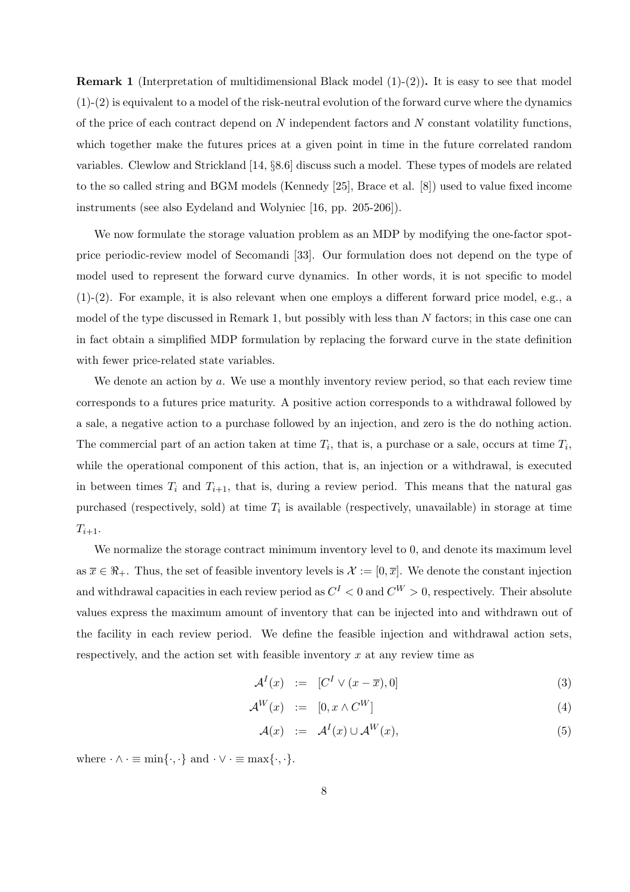**Remark 1** (Interpretation of multidimensional Black model  $(1)-(2)$ ). It is easy to see that model  $(1)-(2)$  is equivalent to a model of the risk-neutral evolution of the forward curve where the dynamics of the price of each contract depend on  $N$  independent factors and  $N$  constant volatility functions, which together make the futures prices at a given point in time in the future correlated random variables. Clewlow and Strickland [14, §8.6] discuss such a model. These types of models are related to the so called string and BGM models (Kennedy [25], Brace et al. [8]) used to value fixed income instruments (see also Eydeland and Wolyniec [16, pp. 205-206]).

We now formulate the storage valuation problem as an MDP by modifying the one-factor spotprice periodic-review model of Secomandi [33]. Our formulation does not depend on the type of model used to represent the forward curve dynamics. In other words, it is not specific to model (1)-(2). For example, it is also relevant when one employs a different forward price model, e.g., a model of the type discussed in Remark 1, but possibly with less than N factors; in this case one can in fact obtain a simplified MDP formulation by replacing the forward curve in the state definition with fewer price-related state variables.

We denote an action by  $a$ . We use a monthly inventory review period, so that each review time corresponds to a futures price maturity. A positive action corresponds to a withdrawal followed by a sale, a negative action to a purchase followed by an injection, and zero is the do nothing action. The commercial part of an action taken at time  $T_i$ , that is, a purchase or a sale, occurs at time  $T_i$ , while the operational component of this action, that is, an injection or a withdrawal, is executed in between times  $T_i$  and  $T_{i+1}$ , that is, during a review period. This means that the natural gas purchased (respectively, sold) at time  $T_i$  is available (respectively, unavailable) in storage at time  $T_{i+1}$ .

We normalize the storage contract minimum inventory level to 0, and denote its maximum level as  $\overline{x} \in \mathbb{R}_+$ . Thus, the set of feasible inventory levels is  $\mathcal{X} := [0, \overline{x}]$ . We denote the constant injection and withdrawal capacities in each review period as  $C^{I} < 0$  and  $C^{W} > 0$ , respectively. Their absolute values express the maximum amount of inventory that can be injected into and withdrawn out of the facility in each review period. We define the feasible injection and withdrawal action sets, respectively, and the action set with feasible inventory  $x$  at any review time as

$$
\mathcal{A}^{I}(x) \quad := \quad [C^{I} \lor (x - \overline{x}), 0] \tag{3}
$$

$$
\mathcal{A}^W(x) \quad := \quad [0, x \wedge C^W] \tag{4}
$$

$$
\mathcal{A}(x) := \mathcal{A}^{I}(x) \cup \mathcal{A}^{W}(x), \tag{5}
$$

where  $\cdot \wedge \cdot \equiv \min\{\cdot, \cdot\}$  and  $\cdot \vee \cdot \equiv \max\{\cdot, \cdot\}.$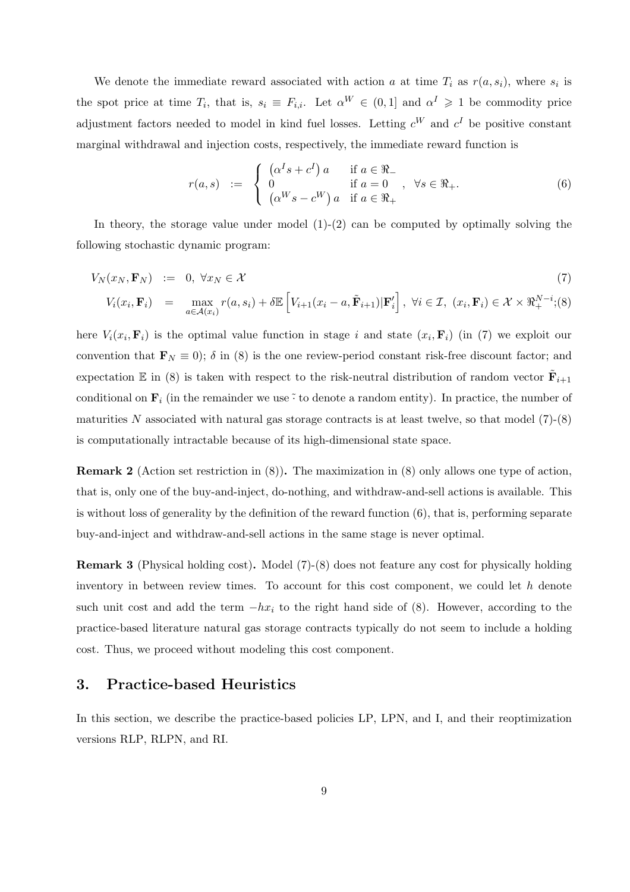We denote the immediate reward associated with action a at time  $T_i$  as  $r(a, s_i)$ , where  $s_i$  is the spot price at time  $T_i$ , that is,  $s_i \equiv F_{i,i}$ . Let  $\alpha^W \in (0,1]$  and  $\alpha^I \geq 1$  be commodity price adjustment factors needed to model in kind fuel losses. Letting  $c^W$  and  $c^I$  be positive constant marginal withdrawal and injection costs, respectively, the immediate reward function is

$$
r(a,s) := \begin{cases} (\alpha^I s + c^I) a & \text{if } a \in \Re_+ \\ 0 & \text{if } a = 0 \\ (\alpha^W s - c^W) a & \text{if } a \in \Re_+ \end{cases}, \forall s \in \Re_+.
$$
 (6)

In theory, the storage value under model  $(1)-(2)$  can be computed by optimally solving the following stochastic dynamic program:

$$
V_N(x_N, \mathbf{F}_N) := 0, \forall x_N \in \mathcal{X}
$$
  
\n
$$
V_i(x_i, \mathbf{F}_i) = \max_{a \in \mathcal{A}(x_i)} r(a, s_i) + \delta \mathbb{E} \left[ V_{i+1}(x_i - a, \tilde{\mathbf{F}}_{i+1}) | \mathbf{F}'_i \right], \forall i \in \mathcal{I}, (x_i, \mathbf{F}_i) \in \mathcal{X} \times \Re_+^{N-i};
$$
\n(7)

here  $V_i(x_i, \mathbf{F}_i)$  is the optimal value function in stage i and state  $(x_i, \mathbf{F}_i)$  (in (7) we exploit our convention that  $\mathbf{F}_N \equiv 0$ ;  $\delta$  in (8) is the one review-period constant risk-free discount factor; and expectation  $\mathbb E$  in (8) is taken with respect to the risk-neutral distribution of random vector  $\tilde{\mathbf{F}}_{i+1}$ conditional on  $\mathbf{F}_i$  (in the remainder we use  $\tilde{\cdot}$  to denote a random entity). In practice, the number of maturities N associated with natural gas storage contracts is at least twelve, so that model  $(7)-(8)$ is computationally intractable because of its high-dimensional state space.

Remark 2 (Action set restriction in (8)). The maximization in (8) only allows one type of action, that is, only one of the buy-and-inject, do-nothing, and withdraw-and-sell actions is available. This is without loss of generality by the definition of the reward function (6), that is, performing separate buy-and-inject and withdraw-and-sell actions in the same stage is never optimal.

Remark 3 (Physical holding cost). Model (7)-(8) does not feature any cost for physically holding inventory in between review times. To account for this cost component, we could let  $h$  denote such unit cost and add the term  $-hx_i$  to the right hand side of (8). However, according to the practice-based literature natural gas storage contracts typically do not seem to include a holding cost. Thus, we proceed without modeling this cost component.

## 3. Practice-based Heuristics

In this section, we describe the practice-based policies LP, LPN, and I, and their reoptimization versions RLP, RLPN, and RI.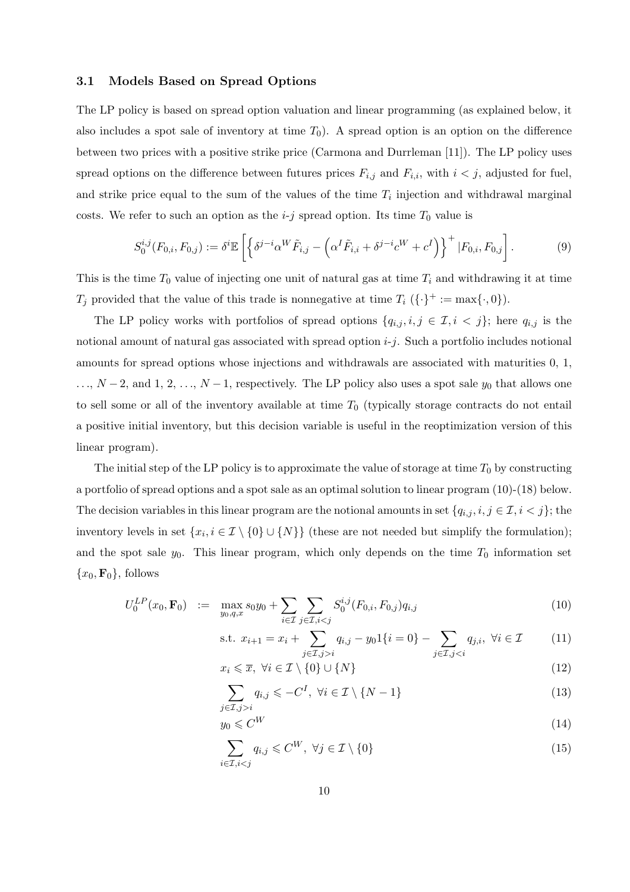#### 3.1 Models Based on Spread Options

The LP policy is based on spread option valuation and linear programming (as explained below, it also includes a spot sale of inventory at time  $T_0$ ). A spread option is an option on the difference between two prices with a positive strike price (Carmona and Durrleman [11]). The LP policy uses spread options on the difference between futures prices  $F_{i,j}$  and  $F_{i,i}$ , with  $i < j$ , adjusted for fuel, and strike price equal to the sum of the values of the time  $T_i$  injection and withdrawal marginal costs. We refer to such an option as the  $i-j$  spread option. Its time  $T_0$  value is

$$
S_0^{i,j}(F_{0,i}, F_{0,j}) := \delta^i \mathbb{E} \left[ \left\{ \delta^{j-i} \alpha^W \tilde{F}_{i,j} - \left( \alpha^I \tilde{F}_{i,i} + \delta^{j-i} c^W + c^I \right) \right\}^+ | F_{0,i}, F_{0,j} \right].
$$
 (9)

This is the time  $T_0$  value of injecting one unit of natural gas at time  $T_i$  and withdrawing it at time  $T_j$  provided that the value of this trade is nonnegative at time  $T_i$  ({ $\cdot$ }<sup>+</sup> := max{ $\cdot$ , 0}).

The LP policy works with portfolios of spread options  $\{q_{i,j}, i, j \in \mathcal{I}, i < j\}$ ; here  $q_{i,j}$  is the notional amount of natural gas associated with spread option  $i-j$ . Such a portfolio includes notional amounts for spread options whose injections and withdrawals are associated with maturities 0, 1, ...,  $N-2$ , and 1, 2, ...,  $N-1$ , respectively. The LP policy also uses a spot sale  $y_0$  that allows one to sell some or all of the inventory available at time  $T_0$  (typically storage contracts do not entail a positive initial inventory, but this decision variable is useful in the reoptimization version of this linear program).

The initial step of the LP policy is to approximate the value of storage at time  $T_0$  by constructing a portfolio of spread options and a spot sale as an optimal solution to linear program (10)-(18) below. The decision variables in this linear program are the notional amounts in set  $\{q_{i,j}, i, j \in \mathcal{I}, i < j\}$ ; the inventory levels in set  $\{x_i, i \in \mathcal{I} \setminus \{0\} \cup \{N\}\}\)$  (these are not needed but simplify the formulation); and the spot sale  $y_0$ . This linear program, which only depends on the time  $T_0$  information set  ${x_0, \mathbf{F}_0}$ , follows

$$
U_0^{LP}(x_0, \mathbf{F}_0) := \max_{y_0, q, x} s_0 y_0 + \sum_{i \in \mathcal{I}} \sum_{j \in \mathcal{I}, i < j} S_0^{i,j} (F_{0,i}, F_{0,j}) q_{i,j} \tag{10}
$$

s.t. 
$$
x_{i+1} = x_i + \sum_{j \in \mathcal{I}, j > i} q_{i,j} - y_0 1\{i = 0\} - \sum_{j \in \mathcal{I}, j < i} q_{j,i}, \ \forall i \in \mathcal{I}
$$
 (11)

$$
x_i \leq \overline{x}, \ \forall i \in \mathcal{I} \setminus \{0\} \cup \{N\} \tag{12}
$$

$$
\sum_{j \in \mathcal{I}, j > i} q_{i,j} \leqslant -C^I, \ \forall i \in \mathcal{I} \setminus \{N - 1\}
$$
\n
$$
(13)
$$

$$
y_0 \leqslant C^W \tag{14}
$$

$$
\sum_{i \in \mathcal{I}, i < j} q_{i,j} \leq C^W, \ \forall j \in \mathcal{I} \setminus \{0\} \tag{15}
$$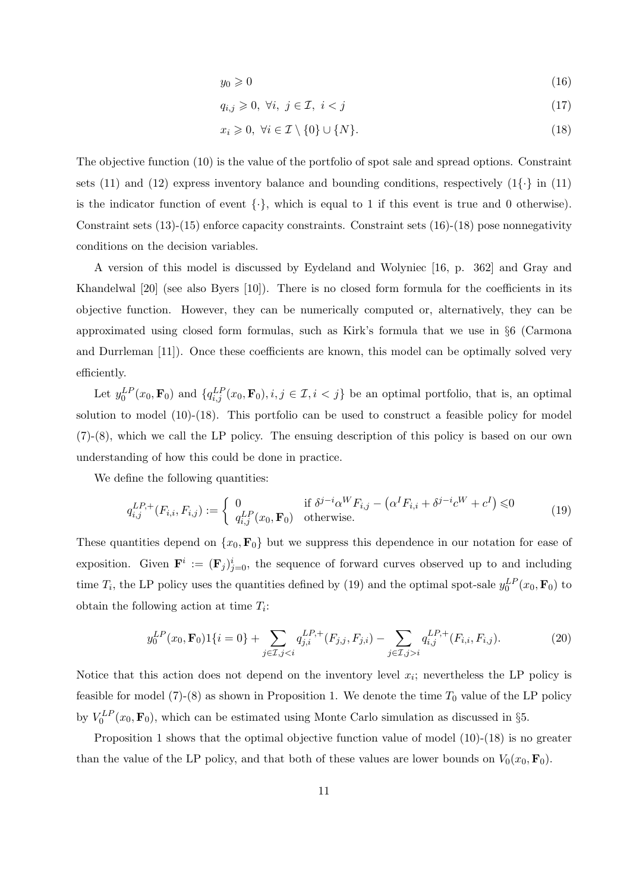$$
y_0 \geqslant 0 \tag{16}
$$

$$
q_{i,j} \geqslant 0, \ \forall i, \ j \in \mathcal{I}, \ i < j \tag{17}
$$

$$
x_i \geqslant 0, \ \forall i \in \mathcal{I} \setminus \{0\} \cup \{N\}.
$$
\n
$$
(18)
$$

The objective function (10) is the value of the portfolio of spot sale and spread options. Constraint sets (11) and (12) express inventory balance and bounding conditions, respectively  $(1\{\cdot\})$  in (11) is the indicator function of event  $\{\cdot\}$ , which is equal to 1 if this event is true and 0 otherwise). Constraint sets  $(13)-(15)$  enforce capacity constraints. Constraint sets  $(16)-(18)$  pose nonnegativity conditions on the decision variables.

A version of this model is discussed by Eydeland and Wolyniec [16, p. 362] and Gray and Khandelwal [20] (see also Byers [10]). There is no closed form formula for the coefficients in its objective function. However, they can be numerically computed or, alternatively, they can be approximated using closed form formulas, such as Kirk's formula that we use in §6 (Carmona and Durrleman [11]). Once these coefficients are known, this model can be optimally solved very efficiently.

Let  $y_0^{LP}(x_0, \mathbf{F}_0)$  and  $\{q_{i,j}^{LP}(x_0, \mathbf{F}_0), i, j \in \mathcal{I}, i < j\}$  be an optimal portfolio, that is, an optimal solution to model (10)-(18). This portfolio can be used to construct a feasible policy for model (7)-(8), which we call the LP policy. The ensuing description of this policy is based on our own understanding of how this could be done in practice.

We define the following quantities:

$$
q_{i,j}^{LP,+}(F_{i,i}, F_{i,j}) := \begin{cases} 0 & \text{if } \delta^{j-i} \alpha^W F_{i,j} - (\alpha^I F_{i,i} + \delta^{j-i} c^W + c^I) \leq 0 \\ q_{i,j}^{LP}(x_0, \mathbf{F}_0) & \text{otherwise.} \end{cases}
$$
(19)

These quantities depend on  $\{x_0, \mathbf{F}_0\}$  but we suppress this dependence in our notation for ease of exposition. Given  $\mathbf{F}^i := (\mathbf{F}_j)_{j=0}^i$ , the sequence of forward curves observed up to and including time  $T_i$ , the LP policy uses the quantities defined by (19) and the optimal spot-sale  $y_0^{LP}(x_0, \mathbf{F}_0)$  to obtain the following action at time  $T_i$ :

$$
y_0^{LP}(x_0, \mathbf{F}_0)1\{i=0\} + \sum_{j \in \mathcal{I}, j < i} q_{j,i}^{LP,+}(F_{j,j}, F_{j,i}) - \sum_{j \in \mathcal{I}, j > i} q_{i,j}^{LP,+}(F_{i,i}, F_{i,j}).\tag{20}
$$

Notice that this action does not depend on the inventory level  $x_i$ ; nevertheless the LP policy is feasible for model (7)-(8) as shown in Proposition 1. We denote the time  $T_0$  value of the LP policy by  $V_0^{LP}(x_0, \mathbf{F}_0)$ , which can be estimated using Monte Carlo simulation as discussed in §5.

Proposition 1 shows that the optimal objective function value of model (10)-(18) is no greater than the value of the LP policy, and that both of these values are lower bounds on  $V_0(x_0, \mathbf{F}_0)$ .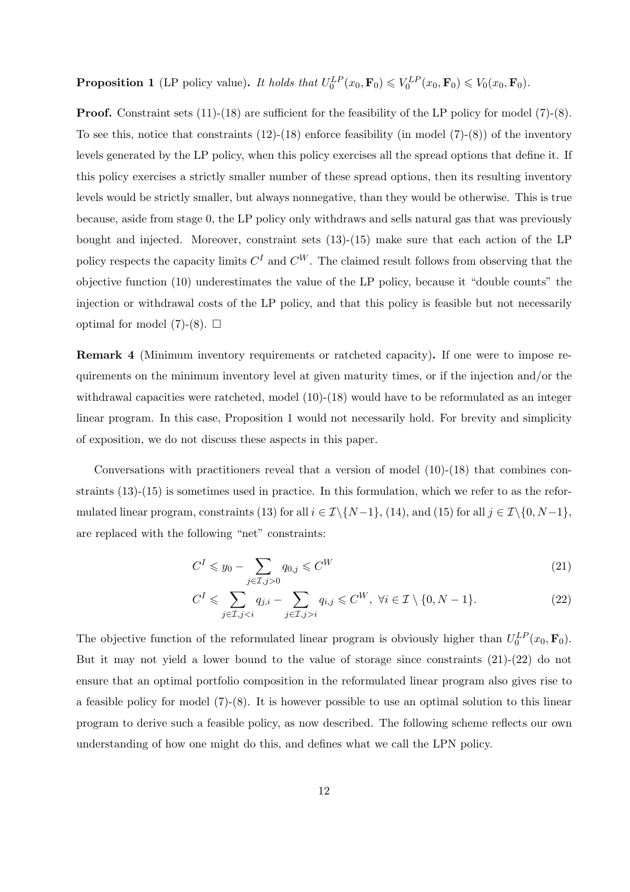**Proposition 1** (LP policy value). It holds that  $U_0^{LP}(x_0, \mathbf{F}_0) \leq V_0^{LP}(x_0, \mathbf{F}_0) \leq V_0(x_0, \mathbf{F}_0)$ .

**Proof.** Constraint sets (11)-(18) are sufficient for the feasibility of the LP policy for model (7)-(8). To see this, notice that constraints  $(12)-(18)$  enforce feasibility (in model  $(7)-(8)$ ) of the inventory levels generated by the LP policy, when this policy exercises all the spread options that define it. If this policy exercises a strictly smaller number of these spread options, then its resulting inventory levels would be strictly smaller, but always nonnegative, than they would be otherwise. This is true because, aside from stage 0, the LP policy only withdraws and sells natural gas that was previously bought and injected. Moreover, constraint sets  $(13)-(15)$  make sure that each action of the LP policy respects the capacity limits  $C^{I}$  and  $C^{W}$ . The claimed result follows from observing that the objective function (10) underestimates the value of the LP policy, because it "double counts" the injection or withdrawal costs of the LP policy, and that this policy is feasible but not necessarily optimal for model  $(7)-(8)$ .  $\Box$ 

Remark 4 (Minimum inventory requirements or ratcheted capacity). If one were to impose requirements on the minimum inventory level at given maturity times, or if the injection and/or the withdrawal capacities were ratcheted, model (10)-(18) would have to be reformulated as an integer linear program. In this case, Proposition 1 would not necessarily hold. For brevity and simplicity of exposition, we do not discuss these aspects in this paper.

Conversations with practitioners reveal that a version of model (10)-(18) that combines constraints (13)-(15) is sometimes used in practice. In this formulation, which we refer to as the reformulated linear program, constraints (13) for all  $i \in \mathcal{I}\setminus\{N-1\}$ , (14), and (15) for all  $j \in \mathcal{I}\setminus\{0, N-1\}$ , are replaced with the following "net" constraints:

$$
C^I \leqslant y_0 - \sum_{j \in \mathcal{I}, j > 0} q_{0,j} \leqslant C^W \tag{21}
$$

$$
C^I \leqslant \sum_{j \in \mathcal{I}, j < i} q_{j,i} - \sum_{j \in \mathcal{I}, j > i} q_{i,j} \leqslant C^W, \ \forall i \in \mathcal{I} \setminus \{0, N - 1\}. \tag{22}
$$

The objective function of the reformulated linear program is obviously higher than  $U_0^{LP}(x_0, \mathbf{F}_0)$ . But it may not yield a lower bound to the value of storage since constraints (21)-(22) do not ensure that an optimal portfolio composition in the reformulated linear program also gives rise to a feasible policy for model  $(7)-(8)$ . It is however possible to use an optimal solution to this linear program to derive such a feasible policy, as now described. The following scheme reflects our own understanding of how one might do this, and defines what we call the LPN policy.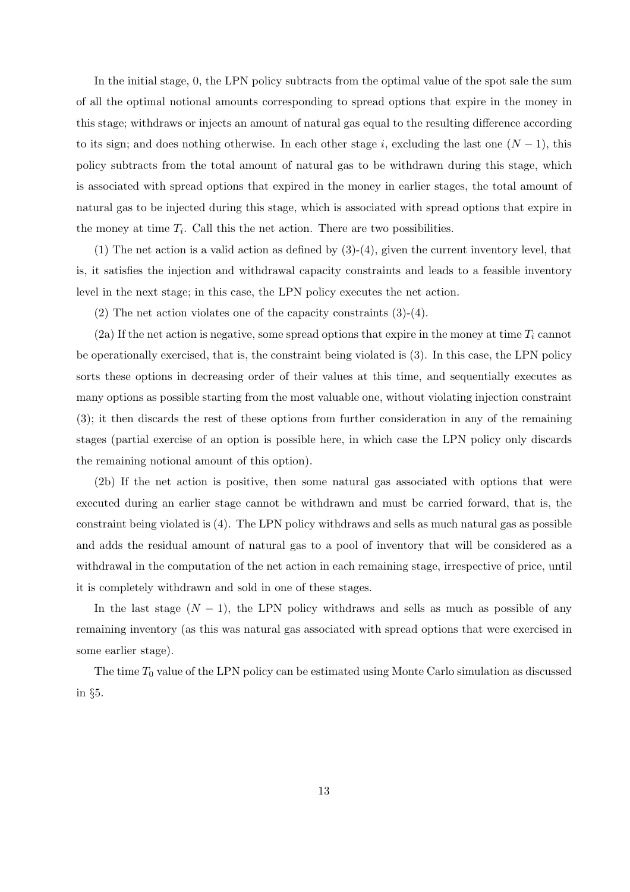In the initial stage, 0, the LPN policy subtracts from the optimal value of the spot sale the sum of all the optimal notional amounts corresponding to spread options that expire in the money in this stage; withdraws or injects an amount of natural gas equal to the resulting difference according to its sign; and does nothing otherwise. In each other stage i, excluding the last one  $(N-1)$ , this policy subtracts from the total amount of natural gas to be withdrawn during this stage, which is associated with spread options that expired in the money in earlier stages, the total amount of natural gas to be injected during this stage, which is associated with spread options that expire in the money at time  $T_i$ . Call this the net action. There are two possibilities.

(1) The net action is a valid action as defined by (3)-(4), given the current inventory level, that is, it satisfies the injection and withdrawal capacity constraints and leads to a feasible inventory level in the next stage; in this case, the LPN policy executes the net action.

(2) The net action violates one of the capacity constraints (3)-(4).

 $(2a)$  If the net action is negative, some spread options that expire in the money at time  $T_i$  cannot be operationally exercised, that is, the constraint being violated is (3). In this case, the LPN policy sorts these options in decreasing order of their values at this time, and sequentially executes as many options as possible starting from the most valuable one, without violating injection constraint (3); it then discards the rest of these options from further consideration in any of the remaining stages (partial exercise of an option is possible here, in which case the LPN policy only discards the remaining notional amount of this option).

(2b) If the net action is positive, then some natural gas associated with options that were executed during an earlier stage cannot be withdrawn and must be carried forward, that is, the constraint being violated is (4). The LPN policy withdraws and sells as much natural gas as possible and adds the residual amount of natural gas to a pool of inventory that will be considered as a withdrawal in the computation of the net action in each remaining stage, irrespective of price, until it is completely withdrawn and sold in one of these stages.

In the last stage  $(N - 1)$ , the LPN policy withdraws and sells as much as possible of any remaining inventory (as this was natural gas associated with spread options that were exercised in some earlier stage).

The time  $T_0$  value of the LPN policy can be estimated using Monte Carlo simulation as discussed in §5.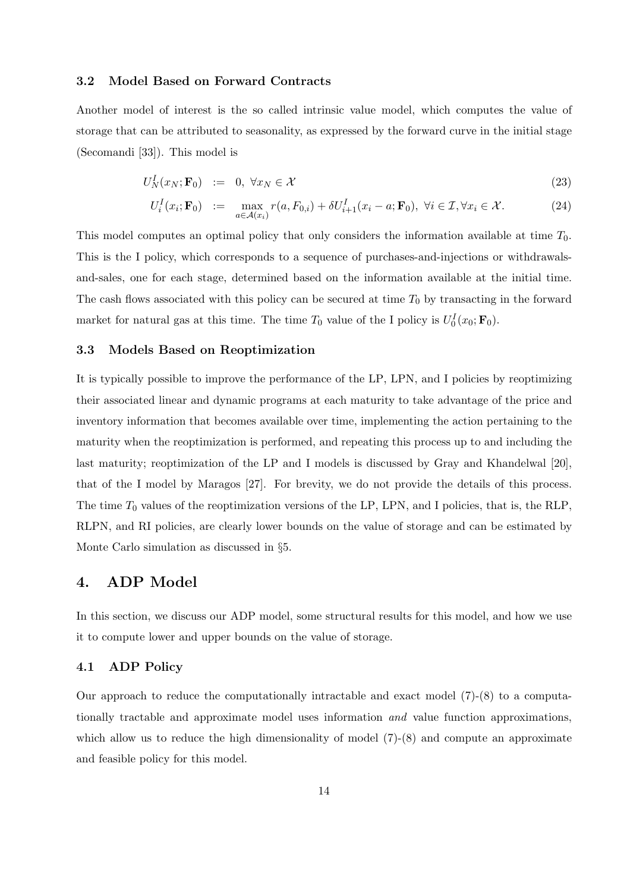#### 3.2 Model Based on Forward Contracts

Another model of interest is the so called intrinsic value model, which computes the value of storage that can be attributed to seasonality, as expressed by the forward curve in the initial stage (Secomandi [33]). This model is

$$
U_N^I(x_N; \mathbf{F}_0) := 0, \ \forall x_N \in \mathcal{X} \tag{23}
$$

$$
U_i^I(x_i; \mathbf{F}_0) := \max_{a \in \mathcal{A}(x_i)} r(a, F_{0,i}) + \delta U_{i+1}^I(x_i - a; \mathbf{F}_0), \ \forall i \in \mathcal{I}, \forall x_i \in \mathcal{X}.
$$
 (24)

This model computes an optimal policy that only considers the information available at time  $T_0$ . This is the I policy, which corresponds to a sequence of purchases-and-injections or withdrawalsand-sales, one for each stage, determined based on the information available at the initial time. The cash flows associated with this policy can be secured at time  $T_0$  by transacting in the forward market for natural gas at this time. The time  $T_0$  value of the I policy is  $U_0^I(x_0; \mathbf{F}_0)$ .

#### 3.3 Models Based on Reoptimization

It is typically possible to improve the performance of the LP, LPN, and I policies by reoptimizing their associated linear and dynamic programs at each maturity to take advantage of the price and inventory information that becomes available over time, implementing the action pertaining to the maturity when the reoptimization is performed, and repeating this process up to and including the last maturity; reoptimization of the LP and I models is discussed by Gray and Khandelwal [20], that of the I model by Maragos [27]. For brevity, we do not provide the details of this process. The time  $T_0$  values of the reoptimization versions of the LP, LPN, and I policies, that is, the RLP, RLPN, and RI policies, are clearly lower bounds on the value of storage and can be estimated by Monte Carlo simulation as discussed in §5.

## 4. ADP Model

In this section, we discuss our ADP model, some structural results for this model, and how we use it to compute lower and upper bounds on the value of storage.

## 4.1 ADP Policy

Our approach to reduce the computationally intractable and exact model (7)-(8) to a computationally tractable and approximate model uses information and value function approximations, which allow us to reduce the high dimensionality of model  $(7)-(8)$  and compute an approximate and feasible policy for this model.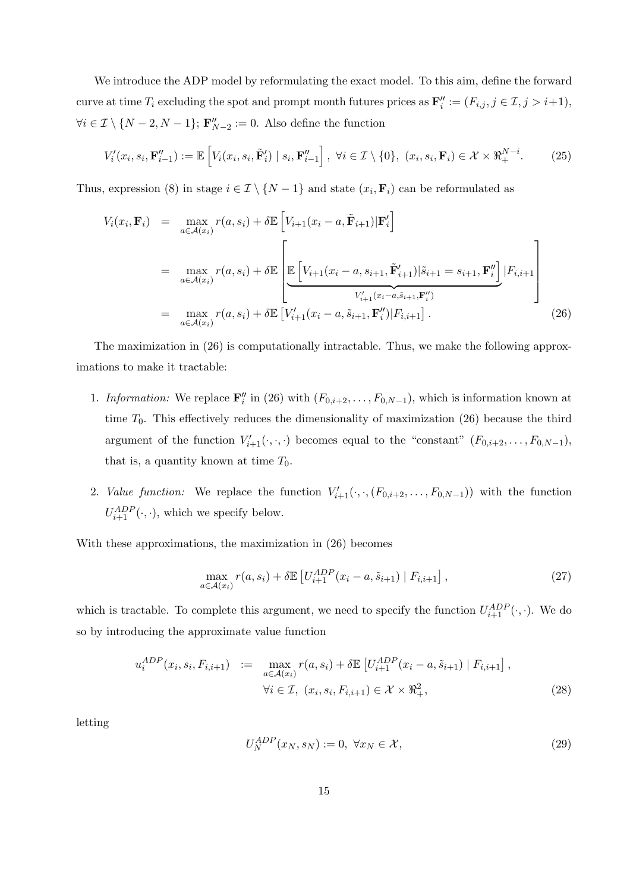We introduce the ADP model by reformulating the exact model. To this aim, define the forward curve at time  $T_i$  excluding the spot and prompt month futures prices as  $\mathbf{F}_i'' := (F_{i,j}, j \in \mathcal{I}, j > i+1)$ ,  $\forall i \in \mathcal{I} \setminus \{N-2, N-1\};$   $\mathbf{F}_{N-2}'' := 0$ . Also define the function

$$
V'_{i}(x_{i}, s_{i}, \mathbf{F}''_{i-1}) := \mathbb{E}\left[V_{i}(x_{i}, s_{i}, \tilde{\mathbf{F}}'_{i}) \mid s_{i}, \mathbf{F}''_{i-1}\right], \ \forall i \in \mathcal{I} \setminus \{0\}, \ (x_{i}, s_{i}, \mathbf{F}_{i}) \in \mathcal{X} \times \Re_{+}^{N-i}.\tag{25}
$$

Thus, expression (8) in stage  $i \in \mathcal{I} \setminus \{N-1\}$  and state  $(x_i, \mathbf{F}_i)$  can be reformulated as

$$
V_i(x_i, \mathbf{F}_i) = \max_{a \in \mathcal{A}(x_i)} r(a, s_i) + \delta \mathbb{E} \left[ V_{i+1}(x_i - a, \tilde{\mathbf{F}}_{i+1}) | \mathbf{F}'_i \right]
$$
  
\n
$$
= \max_{a \in \mathcal{A}(x_i)} r(a, s_i) + \delta \mathbb{E} \left[ \underbrace{\mathbb{E} \left[ V_{i+1}(x_i - a, s_{i+1}, \tilde{\mathbf{F}}'_{i+1}) | \tilde{s}_{i+1} = s_{i+1}, \mathbf{F}''_i \right]}_{V'_{i+1}(x_i - a, \tilde{s}_{i+1}, \mathbf{F}''_i)} | F_{i, i+1} \right]
$$
  
\n
$$
= \max_{a \in \mathcal{A}(x_i)} r(a, s_i) + \delta \mathbb{E} \left[ V'_{i+1}(x_i - a, \tilde{s}_{i+1}, \mathbf{F}''_i) | F_{i, i+1} \right].
$$
 (26)

The maximization in (26) is computationally intractable. Thus, we make the following approximations to make it tractable:

- 1. Information: We replace  $\mathbf{F}'_i$  in (26) with  $(F_{0,i+2},\ldots,F_{0,N-1})$ , which is information known at time  $T_0$ . This effectively reduces the dimensionality of maximization (26) because the third argument of the function  $V'_{i+1}(\cdot,\cdot,\cdot)$  becomes equal to the "constant"  $(F_{0,i+2},\ldots,F_{0,N-1}),$ that is, a quantity known at time  $T_0$ .
- 2. Value function: We replace the function  $V'_{i+1}(\cdot,\cdot,(F_{0,i+2},\ldots,F_{0,N-1}))$  with the function  $U_{i+1}^{ADP}(\cdot,\cdot)$ , which we specify below.

With these approximations, the maximization in (26) becomes

$$
\max_{a \in \mathcal{A}(x_i)} r(a, s_i) + \delta \mathbb{E} \left[ U_{i+1}^{ADP}(x_i - a, \tilde{s}_{i+1}) \mid F_{i,i+1} \right],
$$
\n(27)

which is tractable. To complete this argument, we need to specify the function  $U_{i+1}^{ADP}(\cdot,\cdot)$ . We do so by introducing the approximate value function

$$
u_i^{ADP}(x_i, s_i, F_{i,i+1}) := \max_{a \in \mathcal{A}(x_i)} r(a, s_i) + \delta \mathbb{E} \left[ U_{i+1}^{ADP}(x_i - a, \tilde{s}_{i+1}) \mid F_{i,i+1} \right],
$$
  

$$
\forall i \in \mathcal{I}, \ (x_i, s_i, F_{i,i+1}) \in \mathcal{X} \times \mathbb{R}_+^2,
$$
 (28)

letting

$$
U_N^{ADP}(x_N, s_N) := 0, \ \forall x_N \in \mathcal{X},\tag{29}
$$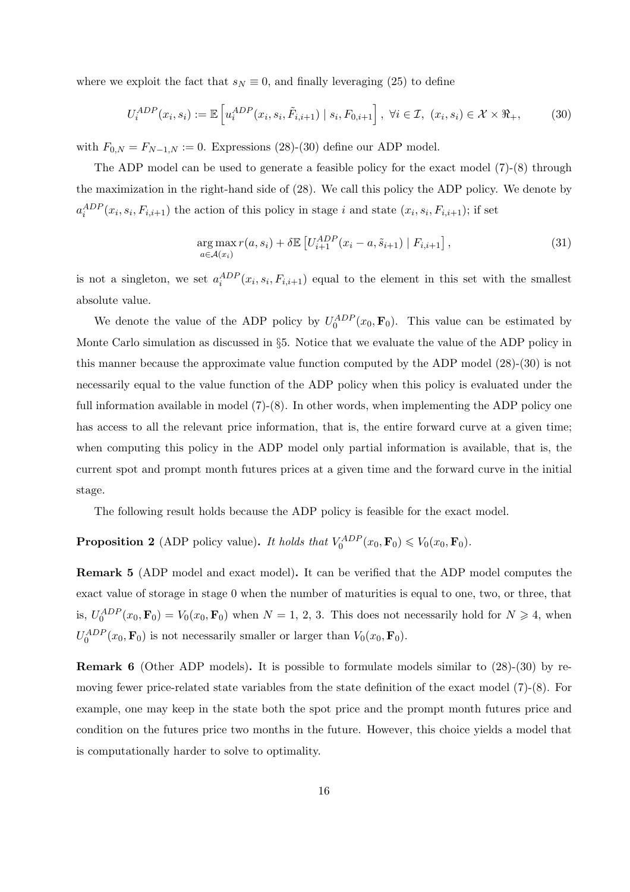where we exploit the fact that  $s_N \equiv 0$ , and finally leveraging (25) to define

$$
U_i^{ADP}(x_i, s_i) := \mathbb{E}\left[u_i^{ADP}(x_i, s_i, \tilde{F}_{i,i+1}) \mid s_i, F_{0,i+1}\right], \ \forall i \in \mathcal{I}, \ (x_i, s_i) \in \mathcal{X} \times \mathbb{R}_+, \tag{30}
$$

with  $F_{0,N} = F_{N-1,N} := 0$ . Expressions (28)-(30) define our ADP model.

The ADP model can be used to generate a feasible policy for the exact model (7)-(8) through the maximization in the right-hand side of (28). We call this policy the ADP policy. We denote by  $a_i^{ADP}(x_i, s_i, F_{i,i+1})$  the action of this policy in stage i and state  $(x_i, s_i, F_{i,i+1})$ ; if set

$$
\underset{a \in \mathcal{A}(x_i)}{\arg \max} r(a, s_i) + \delta \mathbb{E} \left[ U_{i+1}^{ADP}(x_i - a, \tilde{s}_{i+1}) \mid F_{i,i+1} \right], \tag{31}
$$

is not a singleton, we set  $a_i^{ADP}(x_i, s_i, F_{i,i+1})$  equal to the element in this set with the smallest absolute value.

We denote the value of the ADP policy by  $U_0^{ADP}(x_0, \mathbf{F}_0)$ . This value can be estimated by Monte Carlo simulation as discussed in §5. Notice that we evaluate the value of the ADP policy in this manner because the approximate value function computed by the ADP model (28)-(30) is not necessarily equal to the value function of the ADP policy when this policy is evaluated under the full information available in model  $(7)-(8)$ . In other words, when implementing the ADP policy one has access to all the relevant price information, that is, the entire forward curve at a given time; when computing this policy in the ADP model only partial information is available, that is, the current spot and prompt month futures prices at a given time and the forward curve in the initial stage.

The following result holds because the ADP policy is feasible for the exact model.

## **Proposition 2** (ADP policy value). It holds that  $V_0^{ADP}(x_0, \mathbf{F}_0) \leq V_0(x_0, \mathbf{F}_0)$ .

Remark 5 (ADP model and exact model). It can be verified that the ADP model computes the exact value of storage in stage 0 when the number of maturities is equal to one, two, or three, that is,  $U_0^{ADP}(x_0, \mathbf{F}_0) = V_0(x_0, \mathbf{F}_0)$  when  $N = 1, 2, 3$ . This does not necessarily hold for  $N \geq 4$ , when  $U_0^{ADP}(x_0, \mathbf{F}_0)$  is not necessarily smaller or larger than  $V_0(x_0, \mathbf{F}_0)$ .

Remark 6 (Other ADP models). It is possible to formulate models similar to (28)-(30) by removing fewer price-related state variables from the state definition of the exact model (7)-(8). For example, one may keep in the state both the spot price and the prompt month futures price and condition on the futures price two months in the future. However, this choice yields a model that is computationally harder to solve to optimality.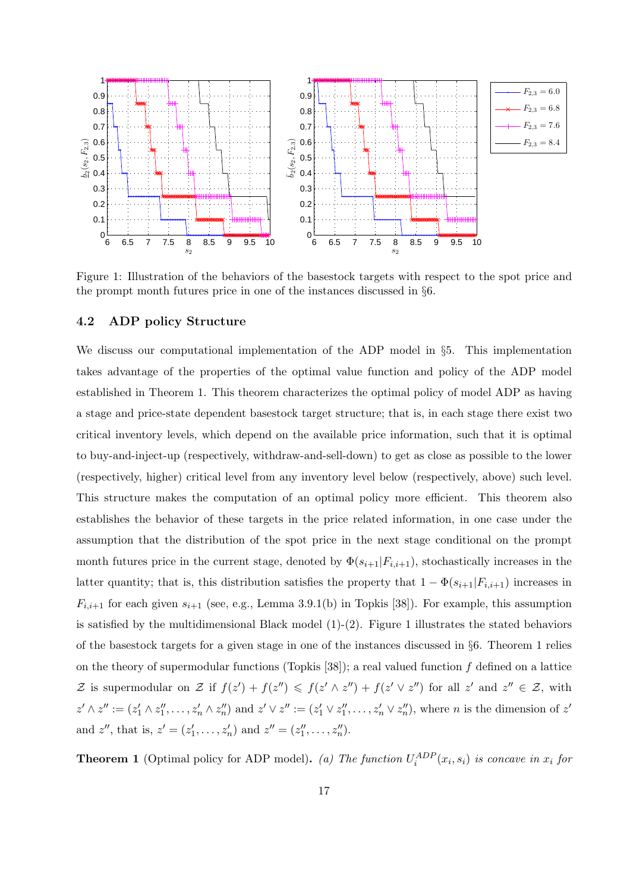

Figure 1: Illustration of the behaviors of the basestock targets with respect to the spot price and the prompt month futures price in one of the instances discussed in §6.

## 4.2 ADP policy Structure

We discuss our computational implementation of the ADP model in §5. This implementation takes advantage of the properties of the optimal value function and policy of the ADP model established in Theorem 1. This theorem characterizes the optimal policy of model ADP as having a stage and price-state dependent basestock target structure; that is, in each stage there exist two critical inventory levels, which depend on the available price information, such that it is optimal to buy-and-inject-up (respectively, withdraw-and-sell-down) to get as close as possible to the lower (respectively, higher) critical level from any inventory level below (respectively, above) such level. This structure makes the computation of an optimal policy more efficient. This theorem also establishes the behavior of these targets in the price related information, in one case under the assumption that the distribution of the spot price in the next stage conditional on the prompt month futures price in the current stage, denoted by  $\Phi(s_{i+1}|F_{i,i+1})$ , stochastically increases in the latter quantity; that is, this distribution satisfies the property that  $1 - \Phi(s_{i+1}|F_{i,i+1})$  increases in  $F_{i,i+1}$  for each given  $s_{i+1}$  (see, e.g., Lemma 3.9.1(b) in Topkis [38]). For example, this assumption is satisfied by the multidimensional Black model  $(1)-(2)$ . Figure 1 illustrates the stated behaviors of the basestock targets for a given stage in one of the instances discussed in §6. Theorem 1 relies on the theory of supermodular functions (Topkis [38]); a real valued function  $f$  defined on a lattice Z is supermodular on Z if  $f(z') + f(z'') \leq f(z' \wedge z'') + f(z' \vee z'')$  for all z' and  $z'' \in \mathcal{Z}$ , with  $z' \wedge z'' := (z_1' \wedge z_1'', \ldots, z_n' \wedge z_n'')$  and  $z' \vee z'' := (z_1' \vee z_1'', \ldots, z_n' \vee z_n'')$ , where *n* is the dimension of  $z'$ and  $z''$ , that is,  $z' = (z'_1, \ldots, z'_n)$  and  $z'' = (z''_1, \ldots, z''_n)$ .

**Theorem 1** (Optimal policy for ADP model). (a) The function  $U_i^{ADP}(x_i, s_i)$  is concave in  $x_i$  for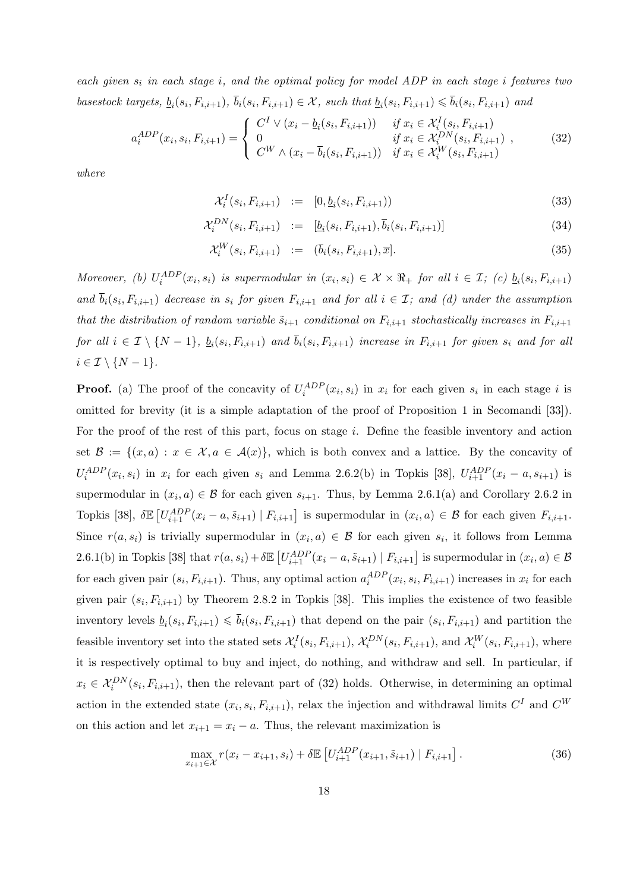each given  $s_i$  in each stage i, and the optimal policy for model ADP in each stage i features two basestock targets,  $\underline{b}_i(s_i, F_{i,i+1}), b_i(s_i, F_{i,i+1}) \in \mathcal{X}$ , such that  $\underline{b}_i(s_i, F_{i,i+1}) \leq b_i(s_i, F_{i,i+1})$  and

$$
a_i^{ADP}(x_i, s_i, F_{i,i+1}) = \begin{cases} C^I \vee (x_i - \underline{b}_i(s_i, F_{i,i+1})) & \text{if } x_i \in \mathcal{X}_i^I(s_i, F_{i,i+1})\\ 0 & \text{if } x_i \in \mathcal{X}_i^{DN}(s_i, F_{i,i+1})\\ C^W \wedge (x_i - \overline{b}_i(s_i, F_{i,i+1})) & \text{if } x_i \in \mathcal{X}_i^W(s_i, F_{i,i+1}) \end{cases} \tag{32}
$$

where

$$
\mathcal{X}_i^I(s_i, F_{i,i+1}) \quad := \quad [0, \underline{b}_i(s_i, F_{i,i+1})) \tag{33}
$$

$$
\mathcal{X}_i^{DN}(s_i, F_{i,i+1}) \ := \ [\underline{b}_i(s_i, F_{i,i+1}), \overline{b}_i(s_i, F_{i,i+1})] \tag{34}
$$

$$
\mathcal{X}_i^W(s_i, F_{i,i+1}) \quad := \quad (\bar{b}_i(s_i, F_{i,i+1}), \bar{x}]. \tag{35}
$$

Moreover, (b)  $U_i^{ADP}(x_i, s_i)$  is supermodular in  $(x_i, s_i) \in \mathcal{X} \times \mathbb{R}_+$  for all  $i \in \mathcal{I}$ ; (c)  $\underline{b}_i(s_i, F_{i,i+1})$ and  $b_i(s_i, F_{i,i+1})$  decrease in  $s_i$  for given  $F_{i,i+1}$  and for all  $i \in \mathcal{I}$ ; and (d) under the assumption that the distribution of random variable  $\tilde{s}_{i+1}$  conditional on  $F_{i,i+1}$  stochastically increases in  $F_{i,i+1}$ for all  $i \in \mathcal{I} \setminus \{N-1\}$ ,  $\underline{b}_i(s_i,F_{i,i+1})$  and  $\overline{b}_i(s_i,F_{i,i+1})$  increase in  $F_{i,i+1}$  for given  $s_i$  and for all  $i \in \mathcal{I} \setminus \{N-1\}.$ 

**Proof.** (a) The proof of the concavity of  $U_i^{ADP}(x_i, s_i)$  in  $x_i$  for each given  $s_i$  in each stage i is omitted for brevity (it is a simple adaptation of the proof of Proposition 1 in Secomandi [33]). For the proof of the rest of this part, focus on stage  $i$ . Define the feasible inventory and action set  $\mathcal{B} := \{(x, a) : x \in \mathcal{X}, a \in \mathcal{A}(x)\}\$ , which is both convex and a lattice. By the concavity of  $U_i^{ADP}(x_i, s_i)$  in  $x_i$  for each given  $s_i$  and Lemma 2.6.2(b) in Topkis [38],  $U_{i+1}^{ADP}(x_i - a, s_{i+1})$  is supermodular in  $(x_i, a) \in \mathcal{B}$  for each given  $s_{i+1}$ . Thus, by Lemma 2.6.1(a) and Corollary 2.6.2 in Topkis [38],  $\delta \mathbb{E}$ £  $U_{i+1}^{ADP}(x_i-a,\tilde{s}_{i+1}) | F_{i,i+1}]$  is supermodular in  $(x_i,a) \in \mathcal{B}$  for each given  $F_{i,i+1}$ . Since  $r(a, s_i)$  is trivially supermodular in  $(x_i, a) \in \mathcal{B}$  for each given  $s_i$ , it follows from Lemma 2.6.1(b) in Topkis [38] that  $r(a, s_i)+\delta \mathbb{E}$ £  $U_{i+1}^{ADP}(x_i-a,\tilde{s}_{i+1}) \mid F_{i,i+1}]$  is supermodular in  $(x_i,a) \in \mathcal{B}$ for each given pair  $(s_i, F_{i,i+1})$ . Thus, any optimal action  $a_i^{ADP}(x_i, s_i, F_{i,i+1})$  increases in  $x_i$  for each given pair  $(s_i, F_{i,i+1})$  by Theorem 2.8.2 in Topkis [38]. This implies the existence of two feasible inventory levels  $\underline{b}_i(s_i, F_{i,i+1}) \leq \overline{b}_i(s_i, F_{i,i+1})$  that depend on the pair  $(s_i, F_{i,i+1})$  and partition the feasible inventory set into the stated sets  $\mathcal{X}_i^I(s_i, F_{i,i+1}), \mathcal{X}_i^{DN}(s_i, F_{i,i+1}),$  and  $\mathcal{X}_i^W(s_i, F_{i,i+1}),$  where it is respectively optimal to buy and inject, do nothing, and withdraw and sell. In particular, if  $x_i \in \mathcal{X}_i^{DN}(s_i, F_{i,i+1}),$  then the relevant part of (32) holds. Otherwise, in determining an optimal action in the extended state  $(x_i, s_i, F_{i,i+1})$ , relax the injection and withdrawal limits  $C<sup>I</sup>$  and  $C<sup>W</sup>$ on this action and let  $x_{i+1} = x_i - a$ . Thus, the relevant maximization is

$$
\max_{x_{i+1} \in \mathcal{X}} r(x_i - x_{i+1}, s_i) + \delta \mathbb{E} \left[ U_{i+1}^{ADP}(x_{i+1}, \tilde{s}_{i+1}) \mid F_{i,i+1} \right]. \tag{36}
$$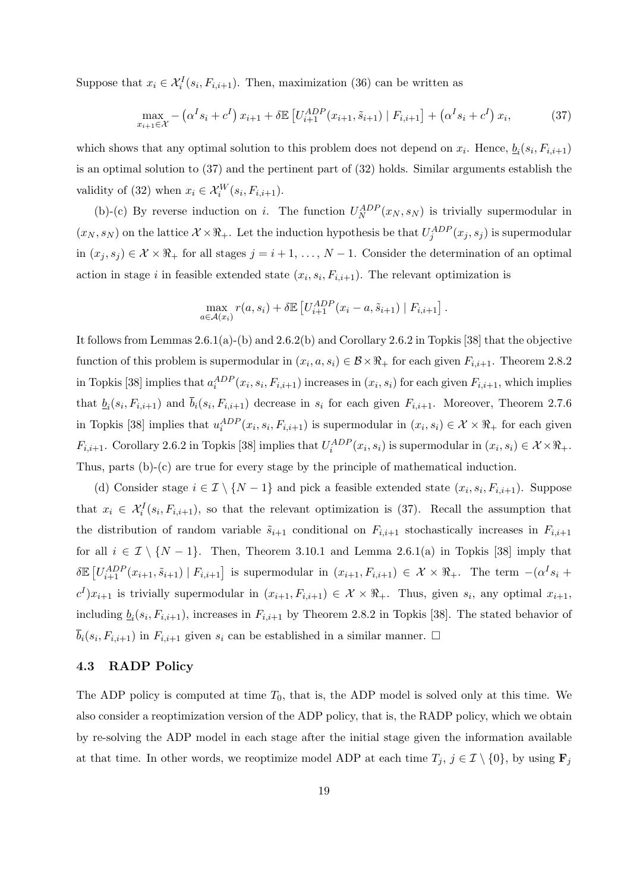Suppose that  $x_i \in \mathcal{X}_i^I(s_i, F_{i,i+1})$ . Then, maximization (36) can be written as

$$
\max_{x_{i+1} \in \mathcal{X}} - (\alpha^I s_i + c^I) x_{i+1} + \delta \mathbb{E} \left[ U_{i+1}^{ADP}(x_{i+1}, \tilde{s}_{i+1}) \mid F_{i,i+1} \right] + (\alpha^I s_i + c^I) x_i,
$$
(37)

which shows that any optimal solution to this problem does not depend on  $x_i$ . Hence,  $\underline{b}_i(s_i, F_{i,i+1})$ is an optimal solution to (37) and the pertinent part of (32) holds. Similar arguments establish the validity of (32) when  $x_i \in \mathcal{X}_i^W(s_i, F_{i,i+1}).$ 

(b)-(c) By reverse induction on i. The function  $U_N^{ADP}(x_N, s_N)$  is trivially supermodular in  $(x_N, s_N)$  on the lattice  $\mathcal{X} \times \mathbb{R}_+$ . Let the induction hypothesis be that  $U_j^{ADP}(x_j, s_j)$  is supermodular in  $(x_j, s_j) \in \mathcal{X} \times \mathbb{R}_+$  for all stages  $j = i + 1, \ldots, N - 1$ . Consider the determination of an optimal action in stage i in feasible extended state  $(x_i, s_i, F_{i,i+1})$ . The relevant optimization is

$$
\max_{a \in \mathcal{A}(x_i)} r(a, s_i) + \delta \mathbb{E} \left[ U_{i+1}^{ADP}(x_i - a, \tilde{s}_{i+1}) \mid F_{i,i+1} \right].
$$

It follows from Lemmas 2.6.1(a)-(b) and 2.6.2(b) and Corollary 2.6.2 in Topkis [38] that the objective function of this problem is supermodular in  $(x_i, a, s_i) \in \mathcal{B} \times \Re_+$  for each given  $F_{i,i+1}$ . Theorem 2.8.2 in Topkis [38] implies that  $a_i^{ADP}(x_i, s_i, F_{i,i+1})$  increases in  $(x_i, s_i)$  for each given  $F_{i,i+1}$ , which implies that  $\underline{b}_i(s_i, F_{i,i+1})$  and  $\overline{b}_i(s_i, F_{i,i+1})$  decrease in  $s_i$  for each given  $F_{i,i+1}$ . Moreover, Theorem 2.7.6 in Topkis [38] implies that  $u_i^{ADP}(x_i, s_i, F_{i,i+1})$  is supermodular in  $(x_i, s_i) \in \mathcal{X} \times \Re_+$  for each given  $F_{i,i+1}$ . Corollary 2.6.2 in Topkis [38] implies that  $U_i^{ADP}(x_i, s_i)$  is supermodular in  $(x_i, s_i) \in \mathcal{X} \times \mathbb{R}_+$ . Thus, parts (b)-(c) are true for every stage by the principle of mathematical induction.

(d) Consider stage  $i \in \mathcal{I} \setminus \{N-1\}$  and pick a feasible extended state  $(x_i, s_i, F_{i,i+1})$ . Suppose that  $x_i \in \mathcal{X}_i^I(s_i, F_{i,i+1}),$  so that the relevant optimization is (37). Recall the assumption that the distribution of random variable  $\tilde{s}_{i+1}$  conditional on  $F_{i,i+1}$  stochastically increases in  $F_{i,i+1}$ for all  $i \in \mathcal{I} \setminus \{N-1\}$ . Then, Theorem 3.10.1 and Lemma 2.6.1(a) in Topkis [38] imply that  $\delta \mathbb{E}$ £  $U_{i+1}^{ADP}(x_{i+1}, \tilde{s}_{i+1}) | F_{i,i+1}]$  is supermodular in  $(x_{i+1}, F_{i,i+1}) \in \mathcal{X} \times \Re_+$ . The term  $-(\alpha^I s_i + \epsilon^I s_i)$  $(c^I)x_{i+1}$  is trivially supermodular in  $(x_{i+1}, F_{i,i+1}) \in \mathcal{X} \times \mathbb{R}_+$ . Thus, given  $s_i$ , any optimal  $x_{i+1}$ , including  $\underline{b}_i(s_i, F_{i,i+1})$ , increases in  $F_{i,i+1}$  by Theorem 2.8.2 in Topkis [38]. The stated behavior of  $\overline{b}_i(s_i, F_{i,i+1})$  in  $F_{i,i+1}$  given  $s_i$  can be established in a similar manner.  $\Box$ 

#### 4.3 RADP Policy

The ADP policy is computed at time  $T_0$ , that is, the ADP model is solved only at this time. We also consider a reoptimization version of the ADP policy, that is, the RADP policy, which we obtain by re-solving the ADP model in each stage after the initial stage given the information available at that time. In other words, we reoptimize model ADP at each time  $T_j$ ,  $j \in \mathcal{I} \setminus \{0\}$ , by using  $\mathbf{F}_j$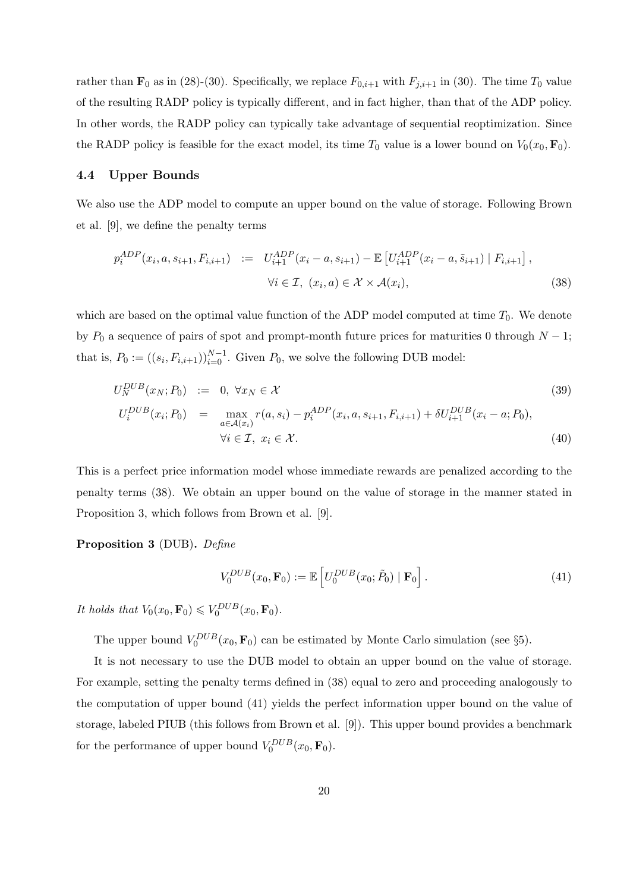rather than  $\mathbf{F}_0$  as in (28)-(30). Specifically, we replace  $F_{0,i+1}$  with  $F_{j,i+1}$  in (30). The time  $T_0$  value of the resulting RADP policy is typically different, and in fact higher, than that of the ADP policy. In other words, the RADP policy can typically take advantage of sequential reoptimization. Since the RADP policy is feasible for the exact model, its time  $T_0$  value is a lower bound on  $V_0(x_0, \mathbf{F}_0)$ .

#### 4.4 Upper Bounds

We also use the ADP model to compute an upper bound on the value of storage. Following Brown et al. [9], we define the penalty terms

$$
p_i^{ADP}(x_i, a, s_{i+1}, F_{i,i+1}) := U_{i+1}^{ADP}(x_i - a, s_{i+1}) - \mathbb{E}\left[U_{i+1}^{ADP}(x_i - a, \tilde{s}_{i+1}) \mid F_{i,i+1}\right],
$$
  

$$
\forall i \in \mathcal{I}, (x_i, a) \in \mathcal{X} \times \mathcal{A}(x_i),
$$
 (38)

which are based on the optimal value function of the ADP model computed at time  $T_0$ . We denote by  $P_0$  a sequence of pairs of spot and prompt-month future prices for maturities 0 through  $N-1$ ; that is,  $P_0 := ((s_i, F_{i,i+1}))_{i=0}^{N-1}$ . Given  $P_0$ , we solve the following DUB model:

$$
U_N^{DUB}(x_N; P_0) := 0, \ \forall x_N \in \mathcal{X}
$$
  
\n
$$
U_i^{DUB}(x_i; P_0) = \max_{a \in \mathcal{A}(x_i)} r(a, s_i) - p_i^{ADP}(x_i, a, s_{i+1}, F_{i,i+1}) + \delta U_{i+1}^{DUB}(x_i - a; P_0),
$$
  
\n
$$
\forall i \in \mathcal{I}, \ x_i \in \mathcal{X}.
$$
\n(40)

This is a perfect price information model whose immediate rewards are penalized according to the penalty terms (38). We obtain an upper bound on the value of storage in the manner stated in Proposition 3, which follows from Brown et al. [9].

Proposition 3 (DUB). Define

$$
V_0^{DUB}(x_0, \mathbf{F}_0) := \mathbb{E}\left[U_0^{DUB}(x_0; \tilde{P}_0) \mid \mathbf{F}_0\right].
$$
\n(41)

It holds that  $V_0(x_0, \mathbf{F}_0) \leq V_0^{DUB}(x_0, \mathbf{F}_0)$ .

The upper bound  $V_0^{DUB}(x_0, \mathbf{F}_0)$  can be estimated by Monte Carlo simulation (see §5).

It is not necessary to use the DUB model to obtain an upper bound on the value of storage. For example, setting the penalty terms defined in (38) equal to zero and proceeding analogously to the computation of upper bound (41) yields the perfect information upper bound on the value of storage, labeled PIUB (this follows from Brown et al. [9]). This upper bound provides a benchmark for the performance of upper bound  $V_0^{DUB}(x_0, \mathbf{F}_0)$ .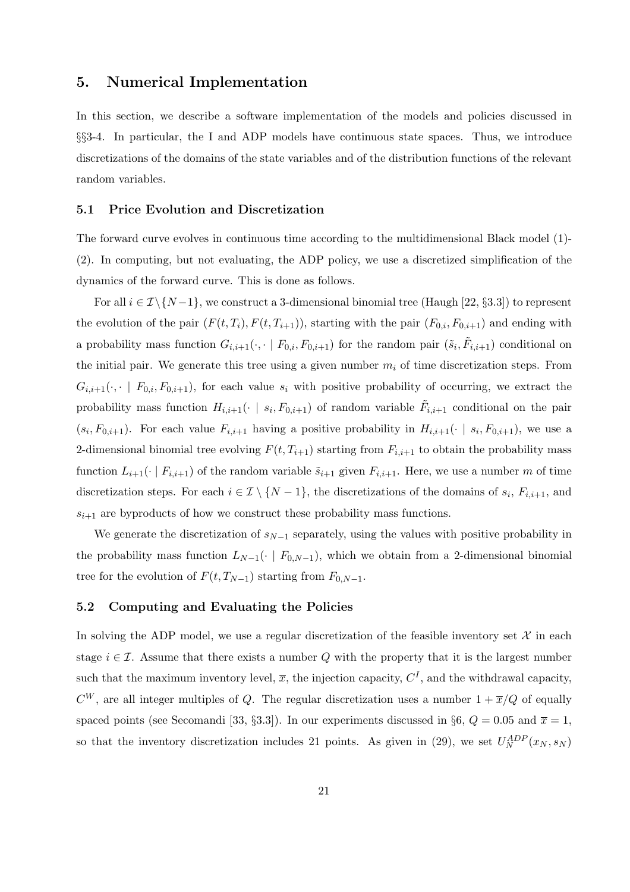## 5. Numerical Implementation

In this section, we describe a software implementation of the models and policies discussed in §§3-4. In particular, the I and ADP models have continuous state spaces. Thus, we introduce discretizations of the domains of the state variables and of the distribution functions of the relevant random variables.

#### 5.1 Price Evolution and Discretization

The forward curve evolves in continuous time according to the multidimensional Black model (1)- (2). In computing, but not evaluating, the ADP policy, we use a discretized simplification of the dynamics of the forward curve. This is done as follows.

For all  $i \in \mathcal{I} \setminus \{N-1\}$ , we construct a 3-dimensional binomial tree (Haugh [22, §3.3]) to represent the evolution of the pair  $(F(t, T_i), F(t, T_{i+1}))$ , starting with the pair  $(F_{0,i}, F_{0,i+1})$  and ending with a probability mass function  $G_{i,i+1}(\cdot, \cdot \mid F_{0,i}, F_{0,i+1})$  for the random pair  $(\tilde{s}_i, \tilde{F}_{i,i+1})$  conditional on the initial pair. We generate this tree using a given number  $m_i$  of time discretization steps. From  $G_{i,i+1}(\cdot, \cdot \mid F_{0,i}, F_{0,i+1}),$  for each value  $s_i$  with positive probability of occurring, we extract the probability mass function  $H_{i,i+1}(\cdot \mid s_i, F_{0,i+1})$  of random variable  $\tilde{F}_{i,i+1}$  conditional on the pair  $(s_i, F_{0,i+1})$ . For each value  $F_{i,i+1}$  having a positive probability in  $H_{i,i+1}(\cdot \mid s_i, F_{0,i+1})$ , we use a 2-dimensional binomial tree evolving  $F(t, T_{i+1})$  starting from  $F_{i,i+1}$  to obtain the probability mass function  $L_{i+1}(\cdot | F_{i,i+1})$  of the random variable  $\tilde{s}_{i+1}$  given  $F_{i,i+1}$ . Here, we use a number m of time discretization steps. For each  $i \in \mathcal{I} \setminus \{N-1\}$ , the discretizations of the domains of  $s_i$ ,  $F_{i,i+1}$ , and  $s_{i+1}$  are byproducts of how we construct these probability mass functions.

We generate the discretization of  $s_{N-1}$  separately, using the values with positive probability in the probability mass function  $L_{N-1}(\cdot | F_{0,N-1})$ , which we obtain from a 2-dimensional binomial tree for the evolution of  $F(t, T_{N-1})$  starting from  $F_{0,N-1}$ .

#### 5.2 Computing and Evaluating the Policies

In solving the ADP model, we use a regular discretization of the feasible inventory set  $\mathcal X$  in each stage  $i \in \mathcal{I}$ . Assume that there exists a number Q with the property that it is the largest number such that the maximum inventory level,  $\bar{x}$ , the injection capacity,  $C<sup>I</sup>$ , and the withdrawal capacity,  $C^W$ , are all integer multiples of Q. The regular discretization uses a number  $1 + \overline{x}/Q$  of equally spaced points (see Secomandi [33, §3.3]). In our experiments discussed in §6,  $Q = 0.05$  and  $\bar{x} = 1$ , so that the inventory discretization includes 21 points. As given in (29), we set  $U_N^{ADP}(x_N, s_N)$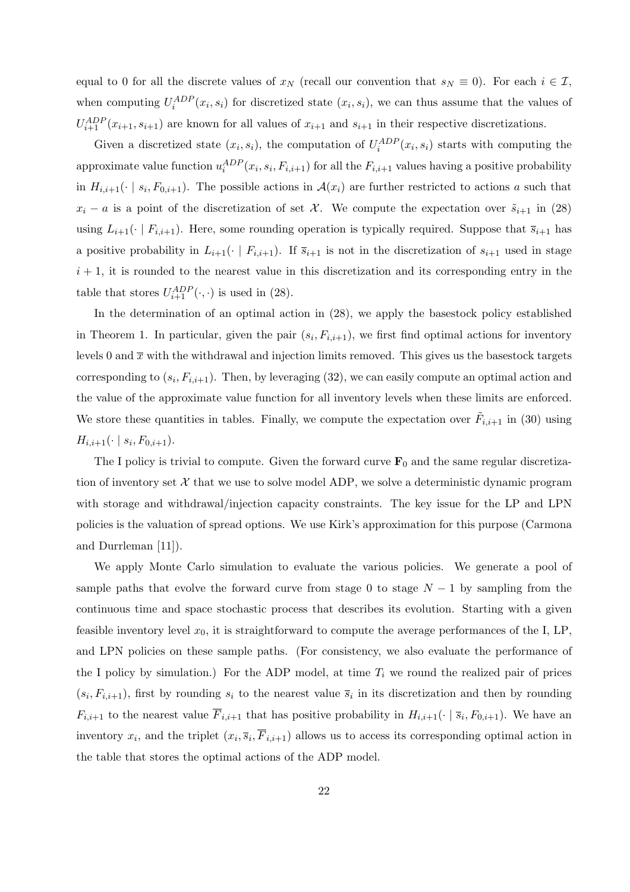equal to 0 for all the discrete values of  $x_N$  (recall our convention that  $s_N \equiv 0$ ). For each  $i \in \mathcal{I}$ , when computing  $U_i^{ADP}(x_i, s_i)$  for discretized state  $(x_i, s_i)$ , we can thus assume that the values of  $U_{i+1}^{ADP}(x_{i+1}, s_{i+1})$  are known for all values of  $x_{i+1}$  and  $s_{i+1}$  in their respective discretizations.

Given a discretized state  $(x_i, s_i)$ , the computation of  $U_i^{ADP}(x_i, s_i)$  starts with computing the approximate value function  $u_i^{ADP}(x_i, s_i, F_{i,i+1})$  for all the  $F_{i,i+1}$  values having a positive probability in  $H_{i,i+1}(\cdot \mid s_i, F_{0,i+1})$ . The possible actions in  $\mathcal{A}(x_i)$  are further restricted to actions a such that  $x_i - a$  is a point of the discretization of set X. We compute the expectation over  $\tilde{s}_{i+1}$  in (28) using  $L_{i+1}(\cdot \mid F_{i,i+1})$ . Here, some rounding operation is typically required. Suppose that  $\overline{s}_{i+1}$  has a positive probability in  $L_{i+1}(\cdot \mid F_{i,i+1})$ . If  $\overline{s}_{i+1}$  is not in the discretization of  $s_{i+1}$  used in stage  $i + 1$ , it is rounded to the nearest value in this discretization and its corresponding entry in the table that stores  $U_{i+1}^{ADP}(\cdot, \cdot)$  is used in (28).

In the determination of an optimal action in (28), we apply the basestock policy established in Theorem 1. In particular, given the pair  $(s_i, F_{i,i+1})$ , we first find optimal actions for inventory levels 0 and  $\bar{x}$  with the withdrawal and injection limits removed. This gives us the basestock targets corresponding to  $(s_i, F_{i,i+1})$ . Then, by leveraging (32), we can easily compute an optimal action and the value of the approximate value function for all inventory levels when these limits are enforced. We store these quantities in tables. Finally, we compute the expectation over  $\tilde{F}_{i,i+1}$  in (30) using  $H_{i,i+1}(\cdot | s_i, F_{0,i+1}).$ 

The I policy is trivial to compute. Given the forward curve  $\mathbf{F}_0$  and the same regular discretization of inventory set  $\mathcal X$  that we use to solve model ADP, we solve a deterministic dynamic program with storage and withdrawal/injection capacity constraints. The key issue for the LP and LPN policies is the valuation of spread options. We use Kirk's approximation for this purpose (Carmona and Durrleman [11]).

We apply Monte Carlo simulation to evaluate the various policies. We generate a pool of sample paths that evolve the forward curve from stage 0 to stage  $N-1$  by sampling from the continuous time and space stochastic process that describes its evolution. Starting with a given feasible inventory level  $x_0$ , it is straightforward to compute the average performances of the I, LP, and LPN policies on these sample paths. (For consistency, we also evaluate the performance of the I policy by simulation.) For the ADP model, at time  $T_i$  we round the realized pair of prices  $(s_i, F_{i,i+1})$ , first by rounding  $s_i$  to the nearest value  $\overline{s}_i$  in its discretization and then by rounding  $F_{i,i+1}$  to the nearest value  $\overline{F}_{i,i+1}$  that has positive probability in  $H_{i,i+1}(\cdot | \overline{s}_i, F_{0,i+1})$ . We have an inventory  $x_i$ , and the triplet  $(x_i, \overline{s}_i, \overline{F}_{i,i+1})$  allows us to access its corresponding optimal action in the table that stores the optimal actions of the ADP model.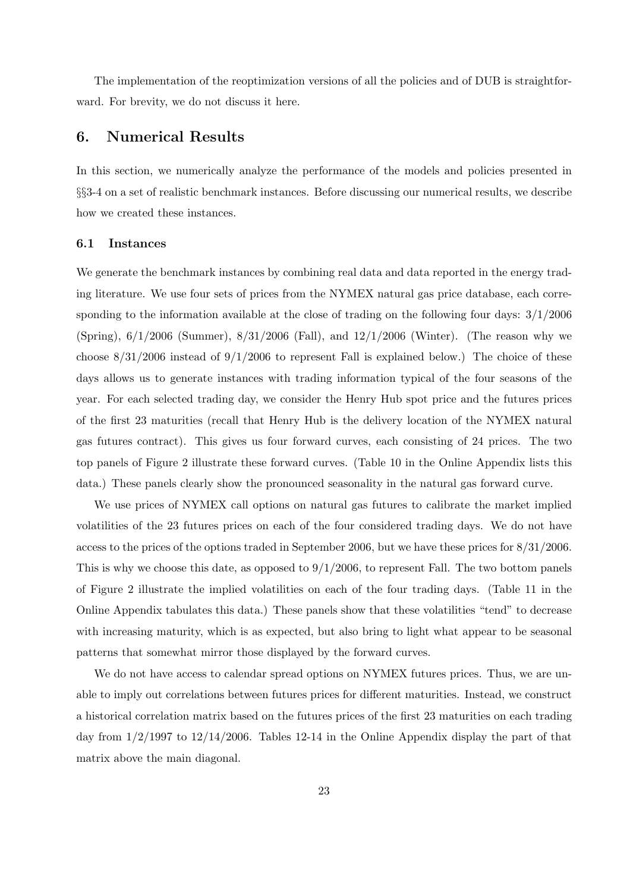The implementation of the reoptimization versions of all the policies and of DUB is straightforward. For brevity, we do not discuss it here.

## 6. Numerical Results

In this section, we numerically analyze the performance of the models and policies presented in §§3-4 on a set of realistic benchmark instances. Before discussing our numerical results, we describe how we created these instances.

#### 6.1 Instances

We generate the benchmark instances by combining real data and data reported in the energy trading literature. We use four sets of prices from the NYMEX natural gas price database, each corresponding to the information available at the close of trading on the following four days: 3/1/2006 (Spring), 6/1/2006 (Summer), 8/31/2006 (Fall), and 12/1/2006 (Winter). (The reason why we choose  $8/31/2006$  instead of  $9/1/2006$  to represent Fall is explained below.) The choice of these days allows us to generate instances with trading information typical of the four seasons of the year. For each selected trading day, we consider the Henry Hub spot price and the futures prices of the first 23 maturities (recall that Henry Hub is the delivery location of the NYMEX natural gas futures contract). This gives us four forward curves, each consisting of 24 prices. The two top panels of Figure 2 illustrate these forward curves. (Table 10 in the Online Appendix lists this data.) These panels clearly show the pronounced seasonality in the natural gas forward curve.

We use prices of NYMEX call options on natural gas futures to calibrate the market implied volatilities of the 23 futures prices on each of the four considered trading days. We do not have access to the prices of the options traded in September 2006, but we have these prices for 8/31/2006. This is why we choose this date, as opposed to  $9/1/2006$ , to represent Fall. The two bottom panels of Figure 2 illustrate the implied volatilities on each of the four trading days. (Table 11 in the Online Appendix tabulates this data.) These panels show that these volatilities "tend" to decrease with increasing maturity, which is as expected, but also bring to light what appear to be seasonal patterns that somewhat mirror those displayed by the forward curves.

We do not have access to calendar spread options on NYMEX futures prices. Thus, we are unable to imply out correlations between futures prices for different maturities. Instead, we construct a historical correlation matrix based on the futures prices of the first 23 maturities on each trading day from  $1/2/1997$  to  $12/14/2006$ . Tables 12-14 in the Online Appendix display the part of that matrix above the main diagonal.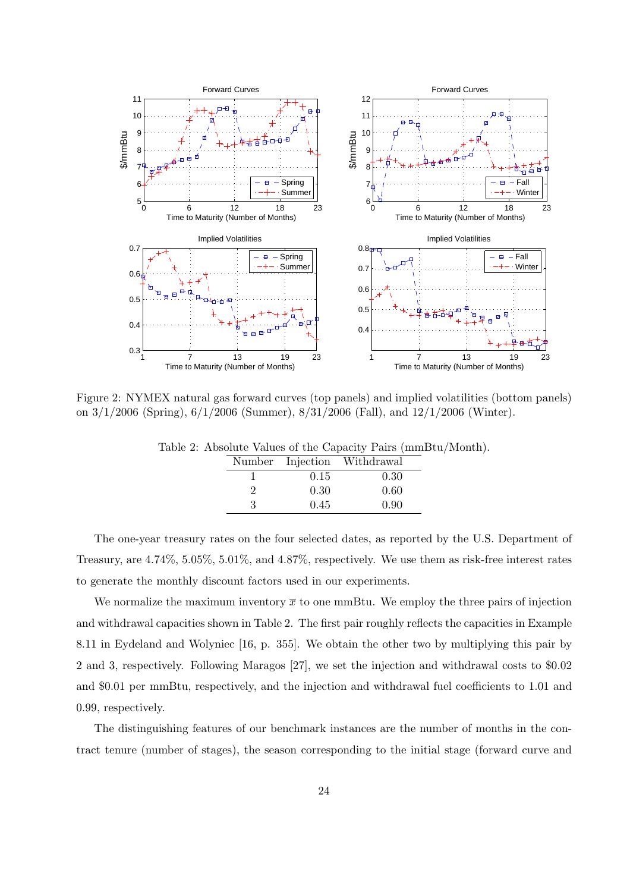

Figure 2: NYMEX natural gas forward curves (top panels) and implied volatilities (bottom panels) on 3/1/2006 (Spring), 6/1/2006 (Summer), 8/31/2006 (Fall), and 12/1/2006 (Winter).

|   |      | orate values of the Capacity I also (fill |
|---|------|-------------------------------------------|
|   |      | Number Injection Withdrawal               |
|   | 0.15 | 0.30                                      |
| 9 | 0.30 | 0.60                                      |
| З | 0.45 | 0.90                                      |

Table 2: Absolute Values of the Capacity Pairs (mmBtu/Month).

The one-year treasury rates on the four selected dates, as reported by the U.S. Department of Treasury, are 4.74%, 5.05%, 5.01%, and 4.87%, respectively. We use them as risk-free interest rates to generate the monthly discount factors used in our experiments.

We normalize the maximum inventory  $\bar{x}$  to one mmBtu. We employ the three pairs of injection and withdrawal capacities shown in Table 2. The first pair roughly reflects the capacities in Example 8.11 in Eydeland and Wolyniec [16, p. 355]. We obtain the other two by multiplying this pair by 2 and 3, respectively. Following Maragos [27], we set the injection and withdrawal costs to \$0.02 and \$0.01 per mmBtu, respectively, and the injection and withdrawal fuel coefficients to 1.01 and 0.99, respectively.

The distinguishing features of our benchmark instances are the number of months in the contract tenure (number of stages), the season corresponding to the initial stage (forward curve and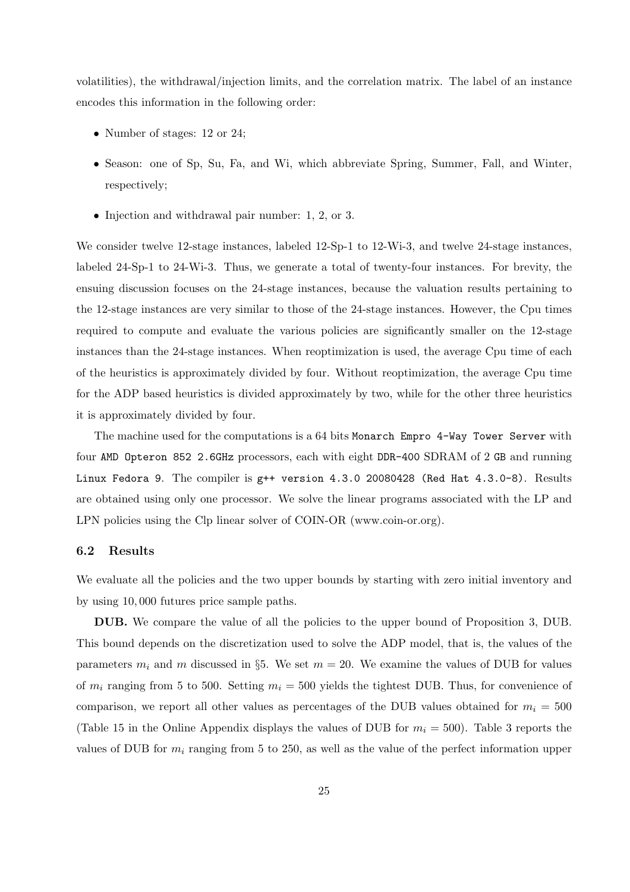volatilities), the withdrawal/injection limits, and the correlation matrix. The label of an instance encodes this information in the following order:

- Number of stages: 12 or 24;
- Season: one of Sp, Su, Fa, and Wi, which abbreviate Spring, Summer, Fall, and Winter, respectively;
- Injection and withdrawal pair number: 1, 2, or 3.

We consider twelve 12-stage instances, labeled 12-Sp-1 to 12-Wi-3, and twelve 24-stage instances, labeled 24-Sp-1 to 24-Wi-3. Thus, we generate a total of twenty-four instances. For brevity, the ensuing discussion focuses on the 24-stage instances, because the valuation results pertaining to the 12-stage instances are very similar to those of the 24-stage instances. However, the Cpu times required to compute and evaluate the various policies are significantly smaller on the 12-stage instances than the 24-stage instances. When reoptimization is used, the average Cpu time of each of the heuristics is approximately divided by four. Without reoptimization, the average Cpu time for the ADP based heuristics is divided approximately by two, while for the other three heuristics it is approximately divided by four.

The machine used for the computations is a 64 bits Monarch Empro 4-Way Tower Server with four AMD Opteron 852 2.6GHz processors, each with eight DDR-400 SDRAM of 2 GB and running Linux Fedora 9. The compiler is g++ version 4.3.0 20080428 (Red Hat 4.3.0-8). Results are obtained using only one processor. We solve the linear programs associated with the LP and LPN policies using the Clp linear solver of COIN-OR (www.coin-or.org).

#### 6.2 Results

We evaluate all the policies and the two upper bounds by starting with zero initial inventory and by using 10, 000 futures price sample paths.

DUB. We compare the value of all the policies to the upper bound of Proposition 3, DUB. This bound depends on the discretization used to solve the ADP model, that is, the values of the parameters  $m_i$  and m discussed in §5. We set  $m = 20$ . We examine the values of DUB for values of  $m_i$  ranging from 5 to 500. Setting  $m_i = 500$  yields the tightest DUB. Thus, for convenience of comparison, we report all other values as percentages of the DUB values obtained for  $m_i = 500$ (Table 15 in the Online Appendix displays the values of DUB for  $m_i = 500$ ). Table 3 reports the values of DUB for  $m_i$  ranging from 5 to 250, as well as the value of the perfect information upper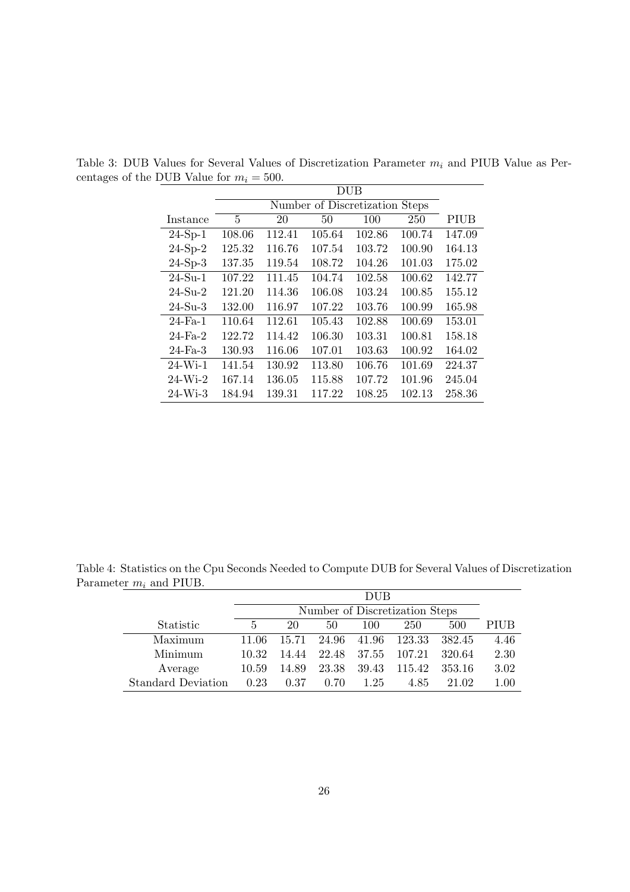| Instance  | 5      | 20     | 50     | 100    | 250    | PIUB   |
|-----------|--------|--------|--------|--------|--------|--------|
| $24-Sp-1$ | 108.06 | 112.41 | 105.64 | 102.86 | 100.74 | 147.09 |
| $24-Sp-2$ | 125.32 | 116.76 | 107.54 | 103.72 | 100.90 | 164.13 |
| $24-Sp-3$ | 137.35 | 119.54 | 108.72 | 104.26 | 101.03 | 175.02 |
| $24-Su-1$ | 107.22 | 111.45 | 104.74 | 102.58 | 100.62 | 142.77 |
| $24-Su-2$ | 121.20 | 114.36 | 106.08 | 103.24 | 100.85 | 155.12 |
| $24-Su-3$ | 132.00 | 116.97 | 107.22 | 103.76 | 100.99 | 165.98 |
| $24-Fa-1$ | 110.64 | 112.61 | 105.43 | 102.88 | 100.69 | 153.01 |
| $24-Fa-2$ | 122.72 | 114.42 | 106.30 | 103.31 | 100.81 | 158.18 |
| $24-Fa-3$ | 130.93 | 116.06 | 107.01 | 103.63 | 100.92 | 164.02 |
| $24-Wi-1$ | 141.54 | 130.92 | 113.80 | 106.76 | 101.69 | 224.37 |
| $24-Wi-2$ | 167.14 | 136.05 | 115.88 | 107.72 | 101.96 | 245.04 |
| $24-Wi-3$ | 184.94 | 139.31 | 117.22 | 108.25 | 102.13 | 258.36 |

Table 3: DUB Values for Several Values of Discretization Parameter  $m_i$  and PIUB Value as Percentages of the DUB Value for  $m_i = 500$ .  $\overline{a}$ 

Table 4: Statistics on the Cpu Seconds Needed to Compute DUB for Several Values of Discretization Parameter  $m_i$  and PIUB.

|                           |       | <b>DUB</b>                     |       |       |        |        |          |  |  |  |
|---------------------------|-------|--------------------------------|-------|-------|--------|--------|----------|--|--|--|
|                           |       | Number of Discretization Steps |       |       |        |        |          |  |  |  |
| Statistic                 | 5     | 20                             | 50    | 100   | 250    | 500    | PIUB     |  |  |  |
| Maximum                   | 11.06 | 15.71                          | 24.96 | 41.96 | 123.33 | 382.45 | 4.46     |  |  |  |
| Minimum                   | 10.32 | 14.44                          | 22.48 | 37.55 | 107.21 | 320.64 | 2.30     |  |  |  |
| Average                   | 10.59 | 14.89                          | 23.38 | 39.43 | 115.42 | 353.16 | 3.02     |  |  |  |
| <b>Standard Deviation</b> | 0.23  | 0.37                           | 0.70  | 1.25  | 4.85   | 21.02  | $1.00\,$ |  |  |  |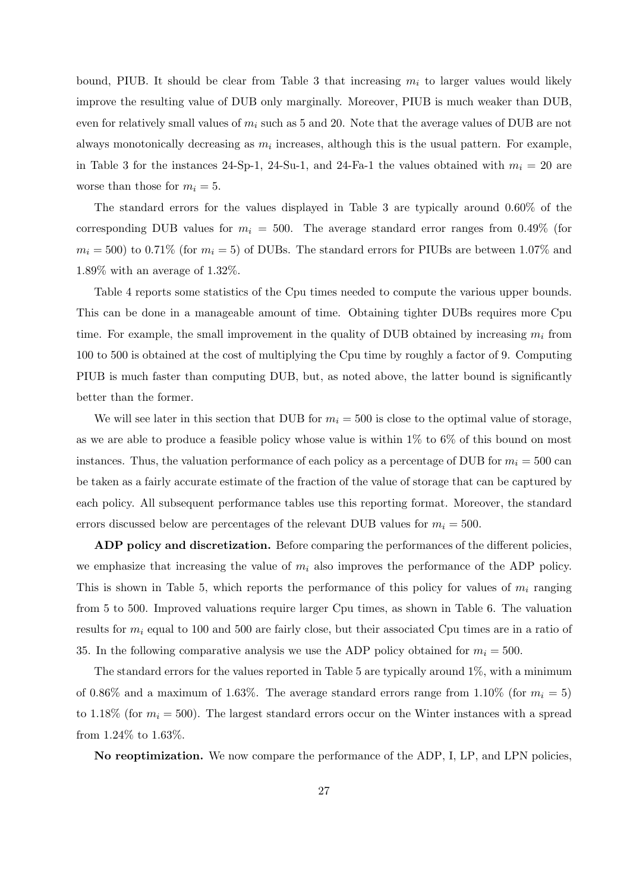bound, PIUB. It should be clear from Table 3 that increasing  $m_i$  to larger values would likely improve the resulting value of DUB only marginally. Moreover, PIUB is much weaker than DUB, even for relatively small values of  $m_i$  such as 5 and 20. Note that the average values of DUB are not always monotonically decreasing as  $m_i$  increases, although this is the usual pattern. For example, in Table 3 for the instances 24-Sp-1, 24-Su-1, and 24-Fa-1 the values obtained with  $m_i = 20$  are worse than those for  $m_i = 5$ .

The standard errors for the values displayed in Table 3 are typically around 0.60% of the corresponding DUB values for  $m_i = 500$ . The average standard error ranges from 0.49% (for  $m_i = 500$ ) to 0.71% (for  $m_i = 5$ ) of DUBs. The standard errors for PIUBs are between 1.07% and 1.89% with an average of 1.32%.

Table 4 reports some statistics of the Cpu times needed to compute the various upper bounds. This can be done in a manageable amount of time. Obtaining tighter DUBs requires more Cpu time. For example, the small improvement in the quality of DUB obtained by increasing  $m_i$  from 100 to 500 is obtained at the cost of multiplying the Cpu time by roughly a factor of 9. Computing PIUB is much faster than computing DUB, but, as noted above, the latter bound is significantly better than the former.

We will see later in this section that DUB for  $m_i = 500$  is close to the optimal value of storage, as we are able to produce a feasible policy whose value is within 1% to 6% of this bound on most instances. Thus, the valuation performance of each policy as a percentage of DUB for  $m_i = 500$  can be taken as a fairly accurate estimate of the fraction of the value of storage that can be captured by each policy. All subsequent performance tables use this reporting format. Moreover, the standard errors discussed below are percentages of the relevant DUB values for  $m_i = 500$ .

ADP policy and discretization. Before comparing the performances of the different policies, we emphasize that increasing the value of  $m_i$  also improves the performance of the ADP policy. This is shown in Table 5, which reports the performance of this policy for values of  $m<sub>i</sub>$  ranging from 5 to 500. Improved valuations require larger Cpu times, as shown in Table 6. The valuation results for  $m_i$  equal to 100 and 500 are fairly close, but their associated Cpu times are in a ratio of 35. In the following comparative analysis we use the ADP policy obtained for  $m_i = 500$ .

The standard errors for the values reported in Table 5 are typically around 1%, with a minimum of 0.86% and a maximum of 1.63%. The average standard errors range from 1.10% (for  $m_i = 5$ ) to 1.18% (for  $m_i = 500$ ). The largest standard errors occur on the Winter instances with a spread from 1.24% to 1.63%.

No reoptimization. We now compare the performance of the ADP, I, LP, and LPN policies,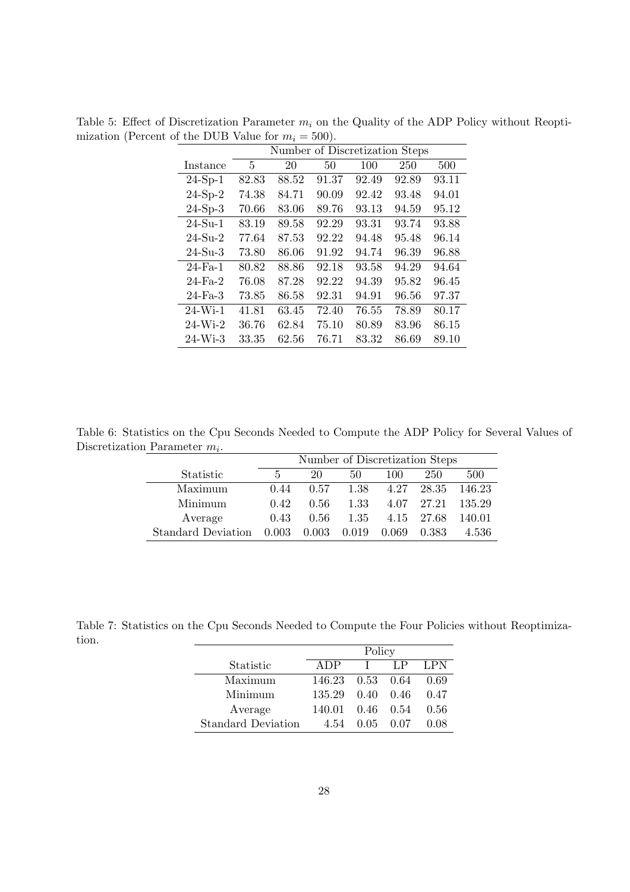|               | Number of Discretization Steps |       |       |       |       |       |  |  |  |
|---------------|--------------------------------|-------|-------|-------|-------|-------|--|--|--|
| Instance      | 5                              | 20    | 50    | 100   | 250   | 500   |  |  |  |
| $24-Sp-1$     | 82.83                          | 88.52 | 91.37 | 92.49 | 92.89 | 93.11 |  |  |  |
| $24-Sp-2$     | 74.38                          | 84.71 | 90.09 | 92.42 | 93.48 | 94.01 |  |  |  |
| $24-Sp-3$     | 70.66                          | 83.06 | 89.76 | 93.13 | 94.59 | 95.12 |  |  |  |
| $24-Su-1$     | 83.19                          | 89.58 | 92.29 | 93.31 | 93.74 | 93.88 |  |  |  |
| $24-Su-2$     | 77.64                          | 87.53 | 92.22 | 94.48 | 95.48 | 96.14 |  |  |  |
| $24 - Su - 3$ | 73.80                          | 86.06 | 91.92 | 94.74 | 96.39 | 96.88 |  |  |  |
| $24-Fa-1$     | 80.82                          | 88.86 | 92.18 | 93.58 | 94.29 | 94.64 |  |  |  |
| $24-Fa-2$     | 76.08                          | 87.28 | 92.22 | 94.39 | 95.82 | 96.45 |  |  |  |
| $24-Fa-3$     | 73.85                          | 86.58 | 92.31 | 94.91 | 96.56 | 97.37 |  |  |  |
| $24-Wi-1$     | 41.81                          | 63.45 | 72.40 | 76.55 | 78.89 | 80.17 |  |  |  |
| $24-Wi-2$     | 36.76                          | 62.84 | 75.10 | 80.89 | 83.96 | 86.15 |  |  |  |
| $24-Wi-3$     | 33.35                          | 62.56 | 76.71 | 83.32 | 86.69 | 89.10 |  |  |  |

Table 5: Effect of Discretization Parameter  $m_i$  on the Quality of the ADP Policy without Reoptimization (Percent of the DUB Value for  $m_i = 500$ ).

Table 6: Statistics on the Cpu Seconds Needed to Compute the ADP Policy for Several Values of Discretization Parameter  $m_i$ .

|                           |       | Number of Discretization Steps |       |       |       |        |  |  |  |
|---------------------------|-------|--------------------------------|-------|-------|-------|--------|--|--|--|
| Statistic                 | 5     | 20                             | 50    | 100   | 250   | 500    |  |  |  |
| Maximum                   | 0.44  | 0.57                           | 1.38  | 4.27  | 28.35 | 146.23 |  |  |  |
| Minimum                   | 0.42  | 0.56                           | 1.33  | 4.07  | 27.21 | 135.29 |  |  |  |
| Average                   | 0.43  | 0.56                           | 1.35  | 4.15  | 27.68 | 140.01 |  |  |  |
| <b>Standard Deviation</b> | 0.003 | 0.003                          | 0.019 | 0.069 | 0.383 | 4.536  |  |  |  |

Table 7: Statistics on the Cpu Seconds Needed to Compute the Four Policies without Reoptimization.

|                           | Policy           |      |                   |      |  |  |  |
|---------------------------|------------------|------|-------------------|------|--|--|--|
| Statistic                 | ADP              |      | LP                | LPN. |  |  |  |
| Maximum                   | 146.23 0.53 0.64 |      |                   | 0.69 |  |  |  |
| Minimum                   | 135.29           |      | $0.40 \quad 0.46$ | 0.47 |  |  |  |
| Average                   | 140.01           |      | $0.46 \quad 0.54$ | 0.56 |  |  |  |
| <b>Standard Deviation</b> | 4.54             | 0.05 | 0.07              | 0.08 |  |  |  |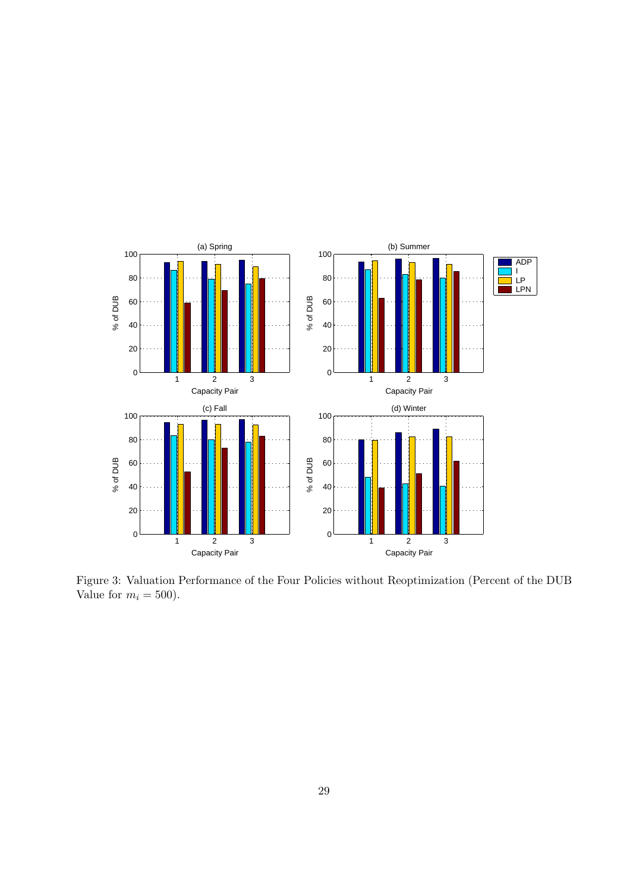

Figure 3: Valuation Performance of the Four Policies without Reoptimization (Percent of the DUB Value for  $m_i = 500$ ).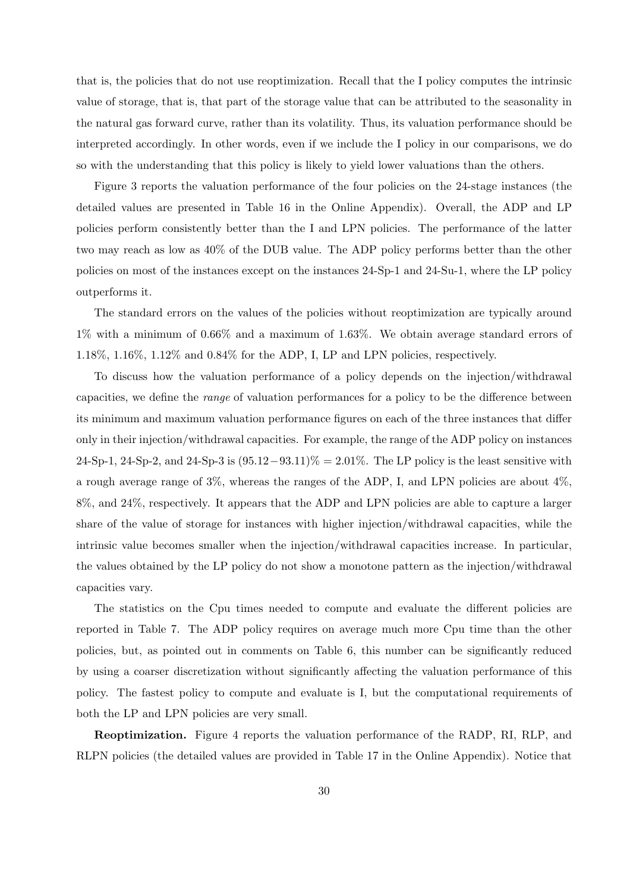that is, the policies that do not use reoptimization. Recall that the I policy computes the intrinsic value of storage, that is, that part of the storage value that can be attributed to the seasonality in the natural gas forward curve, rather than its volatility. Thus, its valuation performance should be interpreted accordingly. In other words, even if we include the I policy in our comparisons, we do so with the understanding that this policy is likely to yield lower valuations than the others.

Figure 3 reports the valuation performance of the four policies on the 24-stage instances (the detailed values are presented in Table 16 in the Online Appendix). Overall, the ADP and LP policies perform consistently better than the I and LPN policies. The performance of the latter two may reach as low as 40% of the DUB value. The ADP policy performs better than the other policies on most of the instances except on the instances 24-Sp-1 and 24-Su-1, where the LP policy outperforms it.

The standard errors on the values of the policies without reoptimization are typically around 1% with a minimum of 0.66% and a maximum of 1.63%. We obtain average standard errors of 1.18%, 1.16%, 1.12% and 0.84% for the ADP, I, LP and LPN policies, respectively.

To discuss how the valuation performance of a policy depends on the injection/withdrawal capacities, we define the range of valuation performances for a policy to be the difference between its minimum and maximum valuation performance figures on each of the three instances that differ only in their injection/withdrawal capacities. For example, the range of the ADP policy on instances 24-Sp-1, 24-Sp-2, and 24-Sp-3 is (95.12−93.11)% = 2.01%. The LP policy is the least sensitive with a rough average range of  $3\%$ , whereas the ranges of the ADP, I, and LPN policies are about  $4\%$ . 8%, and 24%, respectively. It appears that the ADP and LPN policies are able to capture a larger share of the value of storage for instances with higher injection/withdrawal capacities, while the intrinsic value becomes smaller when the injection/withdrawal capacities increase. In particular, the values obtained by the LP policy do not show a monotone pattern as the injection/withdrawal capacities vary.

The statistics on the Cpu times needed to compute and evaluate the different policies are reported in Table 7. The ADP policy requires on average much more Cpu time than the other policies, but, as pointed out in comments on Table 6, this number can be significantly reduced by using a coarser discretization without significantly affecting the valuation performance of this policy. The fastest policy to compute and evaluate is I, but the computational requirements of both the LP and LPN policies are very small.

Reoptimization. Figure 4 reports the valuation performance of the RADP, RI, RLP, and RLPN policies (the detailed values are provided in Table 17 in the Online Appendix). Notice that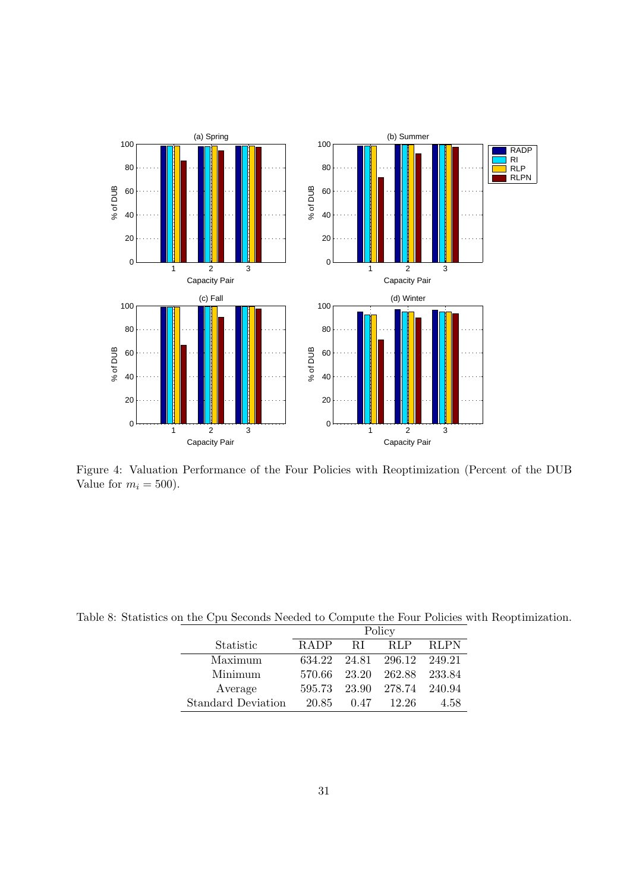

Figure 4: Valuation Performance of the Four Policies with Reoptimization (Percent of the DUB Value for  $m_i = 500$ ).

|                           | Policy      |      |                            |       |  |  |  |
|---------------------------|-------------|------|----------------------------|-------|--|--|--|
| Statistic                 | <b>RADP</b> | RІ   | <b>RLP</b>                 | RLPN. |  |  |  |
| Maximum                   |             |      | 634.22 24.81 296.12 249.21 |       |  |  |  |
| Minimum                   |             |      | 570.66 23.20 262.88 233.84 |       |  |  |  |
| Average                   | 595.73      |      | 23.90 278.74 240.94        |       |  |  |  |
| <b>Standard Deviation</b> | 20.85       | 0.47 | 12.26                      | 4.58  |  |  |  |

Table 8: Statistics on the Cpu Seconds Needed to Compute the Four Policies with Reoptimization.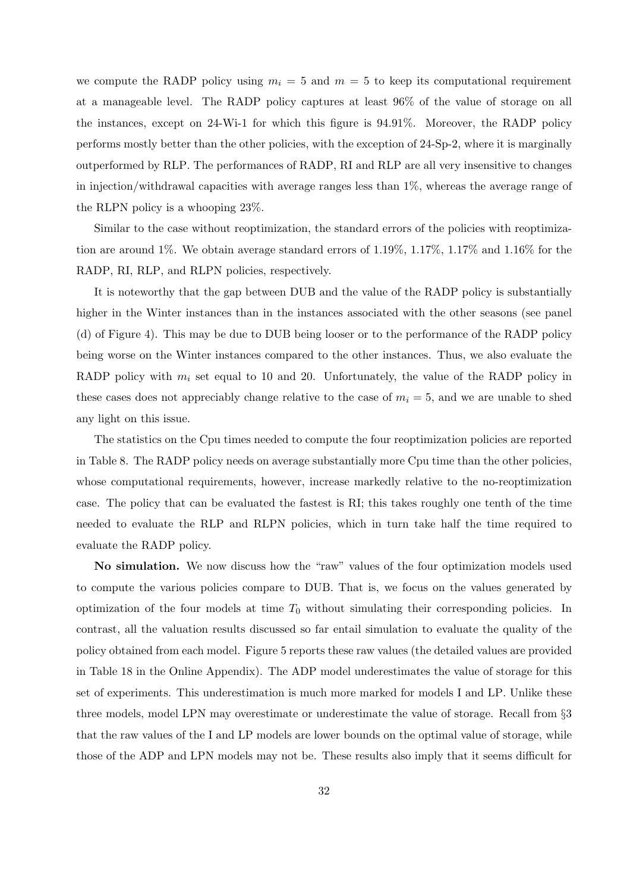we compute the RADP policy using  $m_i = 5$  and  $m = 5$  to keep its computational requirement at a manageable level. The RADP policy captures at least 96% of the value of storage on all the instances, except on 24-Wi-1 for which this figure is 94.91%. Moreover, the RADP policy performs mostly better than the other policies, with the exception of 24-Sp-2, where it is marginally outperformed by RLP. The performances of RADP, RI and RLP are all very insensitive to changes in injection/withdrawal capacities with average ranges less than 1%, whereas the average range of the RLPN policy is a whooping 23%.

Similar to the case without reoptimization, the standard errors of the policies with reoptimization are around 1%. We obtain average standard errors of 1.19%, 1.17%, 1.17% and 1.16% for the RADP, RI, RLP, and RLPN policies, respectively.

It is noteworthy that the gap between DUB and the value of the RADP policy is substantially higher in the Winter instances than in the instances associated with the other seasons (see panel (d) of Figure 4). This may be due to DUB being looser or to the performance of the RADP policy being worse on the Winter instances compared to the other instances. Thus, we also evaluate the RADP policy with  $m_i$  set equal to 10 and 20. Unfortunately, the value of the RADP policy in these cases does not appreciably change relative to the case of  $m_i = 5$ , and we are unable to shed any light on this issue.

The statistics on the Cpu times needed to compute the four reoptimization policies are reported in Table 8. The RADP policy needs on average substantially more Cpu time than the other policies, whose computational requirements, however, increase markedly relative to the no-reoptimization case. The policy that can be evaluated the fastest is RI; this takes roughly one tenth of the time needed to evaluate the RLP and RLPN policies, which in turn take half the time required to evaluate the RADP policy.

No simulation. We now discuss how the "raw" values of the four optimization models used to compute the various policies compare to DUB. That is, we focus on the values generated by optimization of the four models at time  $T_0$  without simulating their corresponding policies. In contrast, all the valuation results discussed so far entail simulation to evaluate the quality of the policy obtained from each model. Figure 5 reports these raw values (the detailed values are provided in Table 18 in the Online Appendix). The ADP model underestimates the value of storage for this set of experiments. This underestimation is much more marked for models I and LP. Unlike these three models, model LPN may overestimate or underestimate the value of storage. Recall from §3 that the raw values of the I and LP models are lower bounds on the optimal value of storage, while those of the ADP and LPN models may not be. These results also imply that it seems difficult for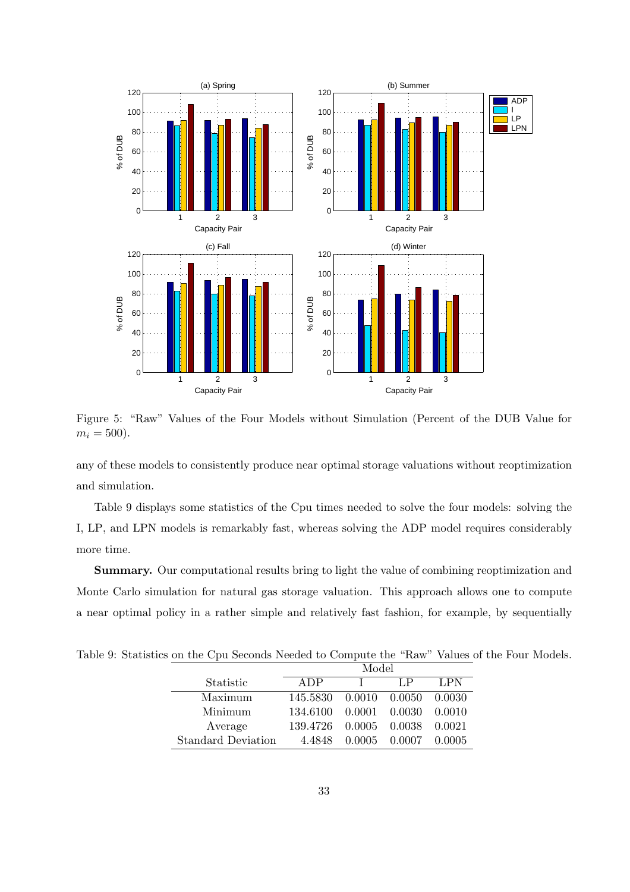

Figure 5: "Raw" Values of the Four Models without Simulation (Percent of the DUB Value for  $m_i = 500$ ).

any of these models to consistently produce near optimal storage valuations without reoptimization and simulation.

Table 9 displays some statistics of the Cpu times needed to solve the four models: solving the I, LP, and LPN models is remarkably fast, whereas solving the ADP model requires considerably more time.

Summary. Our computational results bring to light the value of combining reoptimization and Monte Carlo simulation for natural gas storage valuation. This approach allows one to compute a near optimal policy in a rather simple and relatively fast fashion, for example, by sequentially

Table 9: Statistics on the Cpu Seconds Needed to Compute the "Raw" Values of the Four Models.

|                    | Model                            |        |                            |        |  |  |  |  |
|--------------------|----------------------------------|--------|----------------------------|--------|--|--|--|--|
| Statistic          | ADP.                             |        | LP.                        | LPN    |  |  |  |  |
| Maximum            | 145.5830  0.0010  0.0050  0.0030 |        |                            |        |  |  |  |  |
| Minimum            | 134.6100 0.0001 0.0030 0.0010    |        |                            |        |  |  |  |  |
| Average            | 139.4726                         |        | $0.0005$ $0.0038$ $0.0021$ |        |  |  |  |  |
| Standard Deviation | 4.4848                           | 0.0005 | 0.0007                     | 0.0005 |  |  |  |  |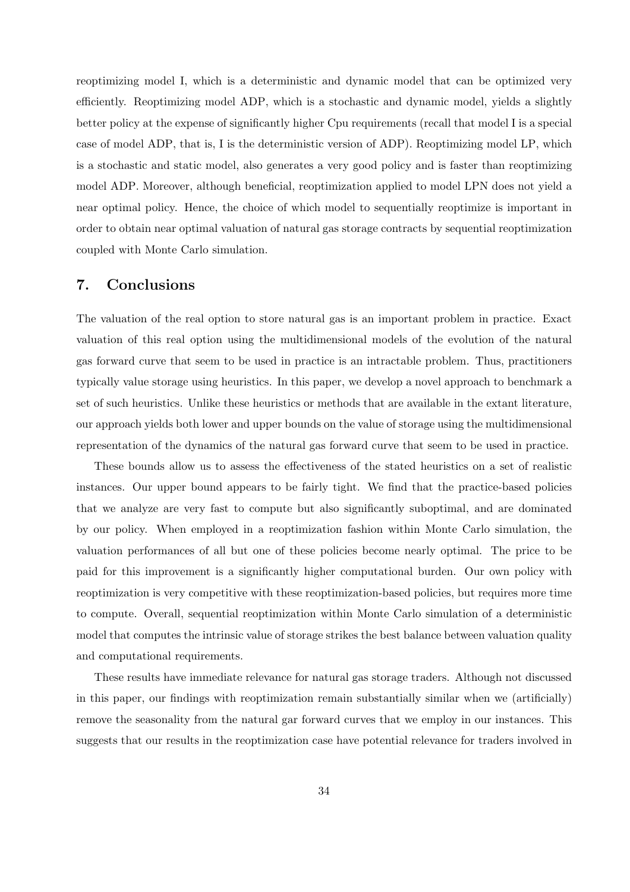reoptimizing model I, which is a deterministic and dynamic model that can be optimized very efficiently. Reoptimizing model ADP, which is a stochastic and dynamic model, yields a slightly better policy at the expense of significantly higher Cpu requirements (recall that model I is a special case of model ADP, that is, I is the deterministic version of ADP). Reoptimizing model LP, which is a stochastic and static model, also generates a very good policy and is faster than reoptimizing model ADP. Moreover, although beneficial, reoptimization applied to model LPN does not yield a near optimal policy. Hence, the choice of which model to sequentially reoptimize is important in order to obtain near optimal valuation of natural gas storage contracts by sequential reoptimization coupled with Monte Carlo simulation.

## 7. Conclusions

The valuation of the real option to store natural gas is an important problem in practice. Exact valuation of this real option using the multidimensional models of the evolution of the natural gas forward curve that seem to be used in practice is an intractable problem. Thus, practitioners typically value storage using heuristics. In this paper, we develop a novel approach to benchmark a set of such heuristics. Unlike these heuristics or methods that are available in the extant literature, our approach yields both lower and upper bounds on the value of storage using the multidimensional representation of the dynamics of the natural gas forward curve that seem to be used in practice.

These bounds allow us to assess the effectiveness of the stated heuristics on a set of realistic instances. Our upper bound appears to be fairly tight. We find that the practice-based policies that we analyze are very fast to compute but also significantly suboptimal, and are dominated by our policy. When employed in a reoptimization fashion within Monte Carlo simulation, the valuation performances of all but one of these policies become nearly optimal. The price to be paid for this improvement is a significantly higher computational burden. Our own policy with reoptimization is very competitive with these reoptimization-based policies, but requires more time to compute. Overall, sequential reoptimization within Monte Carlo simulation of a deterministic model that computes the intrinsic value of storage strikes the best balance between valuation quality and computational requirements.

These results have immediate relevance for natural gas storage traders. Although not discussed in this paper, our findings with reoptimization remain substantially similar when we (artificially) remove the seasonality from the natural gar forward curves that we employ in our instances. This suggests that our results in the reoptimization case have potential relevance for traders involved in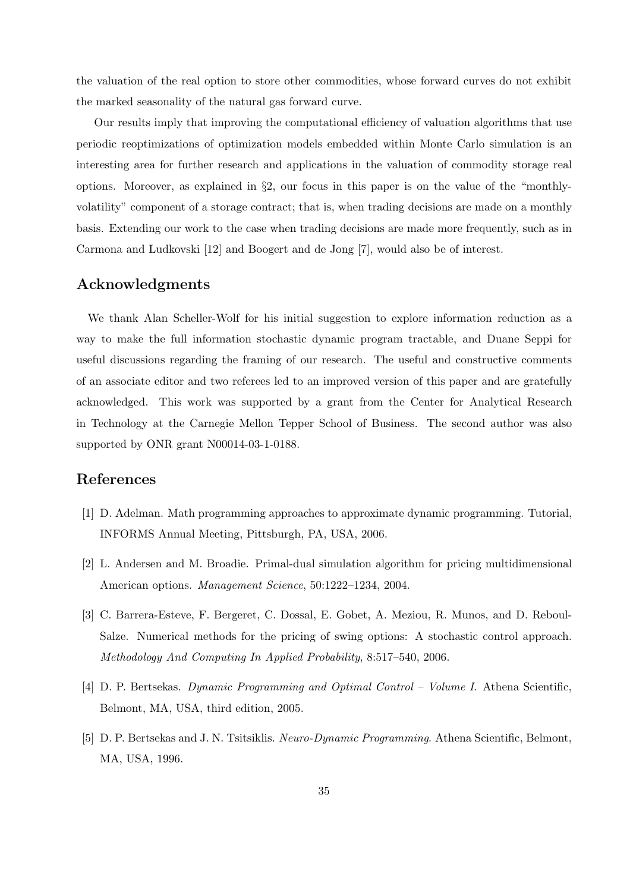the valuation of the real option to store other commodities, whose forward curves do not exhibit the marked seasonality of the natural gas forward curve.

Our results imply that improving the computational efficiency of valuation algorithms that use periodic reoptimizations of optimization models embedded within Monte Carlo simulation is an interesting area for further research and applications in the valuation of commodity storage real options. Moreover, as explained in  $\S2$ , our focus in this paper is on the value of the "monthlyvolatility" component of a storage contract; that is, when trading decisions are made on a monthly basis. Extending our work to the case when trading decisions are made more frequently, such as in Carmona and Ludkovski [12] and Boogert and de Jong [7], would also be of interest.

## Acknowledgments

We thank Alan Scheller-Wolf for his initial suggestion to explore information reduction as a way to make the full information stochastic dynamic program tractable, and Duane Seppi for useful discussions regarding the framing of our research. The useful and constructive comments of an associate editor and two referees led to an improved version of this paper and are gratefully acknowledged. This work was supported by a grant from the Center for Analytical Research in Technology at the Carnegie Mellon Tepper School of Business. The second author was also supported by ONR grant N00014-03-1-0188.

## References

- [1] D. Adelman. Math programming approaches to approximate dynamic programming. Tutorial, INFORMS Annual Meeting, Pittsburgh, PA, USA, 2006.
- [2] L. Andersen and M. Broadie. Primal-dual simulation algorithm for pricing multidimensional American options. Management Science, 50:1222–1234, 2004.
- [3] C. Barrera-Esteve, F. Bergeret, C. Dossal, E. Gobet, A. Meziou, R. Munos, and D. Reboul-Salze. Numerical methods for the pricing of swing options: A stochastic control approach. Methodology And Computing In Applied Probability, 8:517–540, 2006.
- [4] D. P. Bertsekas. Dynamic Programming and Optimal Control Volume I. Athena Scientific, Belmont, MA, USA, third edition, 2005.
- [5] D. P. Bertsekas and J. N. Tsitsiklis. Neuro-Dynamic Programming. Athena Scientific, Belmont, MA, USA, 1996.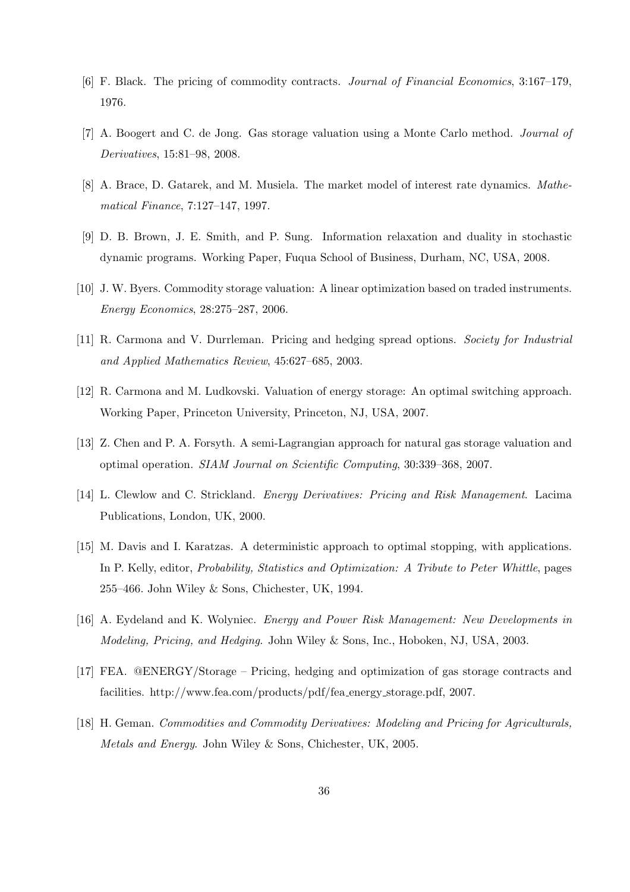- [6] F. Black. The pricing of commodity contracts. Journal of Financial Economics, 3:167–179, 1976.
- [7] A. Boogert and C. de Jong. Gas storage valuation using a Monte Carlo method. Journal of Derivatives, 15:81–98, 2008.
- [8] A. Brace, D. Gatarek, and M. Musiela. The market model of interest rate dynamics. Mathematical Finance, 7:127–147, 1997.
- [9] D. B. Brown, J. E. Smith, and P. Sung. Information relaxation and duality in stochastic dynamic programs. Working Paper, Fuqua School of Business, Durham, NC, USA, 2008.
- [10] J. W. Byers. Commodity storage valuation: A linear optimization based on traded instruments. Energy Economics, 28:275–287, 2006.
- [11] R. Carmona and V. Durrleman. Pricing and hedging spread options. Society for Industrial and Applied Mathematics Review, 45:627–685, 2003.
- [12] R. Carmona and M. Ludkovski. Valuation of energy storage: An optimal switching approach. Working Paper, Princeton University, Princeton, NJ, USA, 2007.
- [13] Z. Chen and P. A. Forsyth. A semi-Lagrangian approach for natural gas storage valuation and optimal operation. SIAM Journal on Scientific Computing, 30:339–368, 2007.
- [14] L. Clewlow and C. Strickland. Energy Derivatives: Pricing and Risk Management. Lacima Publications, London, UK, 2000.
- [15] M. Davis and I. Karatzas. A deterministic approach to optimal stopping, with applications. In P. Kelly, editor, Probability, Statistics and Optimization: A Tribute to Peter Whittle, pages 255–466. John Wiley & Sons, Chichester, UK, 1994.
- [16] A. Eydeland and K. Wolyniec. Energy and Power Risk Management: New Developments in Modeling, Pricing, and Hedging. John Wiley & Sons, Inc., Hoboken, NJ, USA, 2003.
- [17] FEA. @ENERGY/Storage Pricing, hedging and optimization of gas storage contracts and facilities. http://www.fea.com/products/pdf/fea energy storage.pdf, 2007.
- [18] H. Geman. Commodities and Commodity Derivatives: Modeling and Pricing for Agriculturals, Metals and Energy. John Wiley & Sons, Chichester, UK, 2005.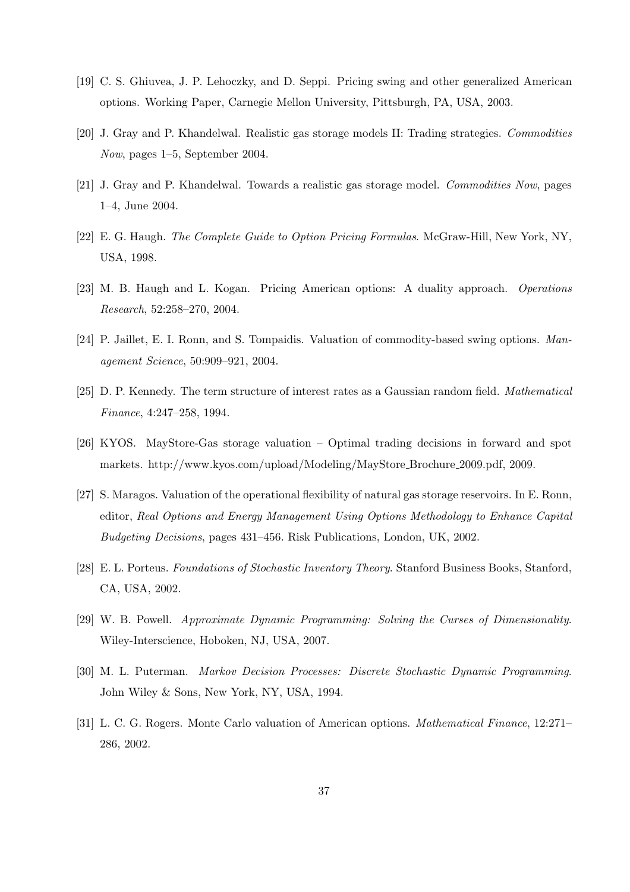- [19] C. S. Ghiuvea, J. P. Lehoczky, and D. Seppi. Pricing swing and other generalized American options. Working Paper, Carnegie Mellon University, Pittsburgh, PA, USA, 2003.
- [20] J. Gray and P. Khandelwal. Realistic gas storage models II: Trading strategies. Commodities Now, pages 1–5, September 2004.
- [21] J. Gray and P. Khandelwal. Towards a realistic gas storage model. Commodities Now, pages 1–4, June 2004.
- [22] E. G. Haugh. The Complete Guide to Option Pricing Formulas. McGraw-Hill, New York, NY, USA, 1998.
- [23] M. B. Haugh and L. Kogan. Pricing American options: A duality approach. Operations Research, 52:258–270, 2004.
- [24] P. Jaillet, E. I. Ronn, and S. Tompaidis. Valuation of commodity-based swing options. Management Science, 50:909–921, 2004.
- [25] D. P. Kennedy. The term structure of interest rates as a Gaussian random field. Mathematical Finance, 4:247–258, 1994.
- [26] KYOS. MayStore-Gas storage valuation Optimal trading decisions in forward and spot markets. http://www.kyos.com/upload/Modeling/MayStore Brochure 2009.pdf, 2009.
- [27] S. Maragos. Valuation of the operational flexibility of natural gas storage reservoirs. In E. Ronn, editor, Real Options and Energy Management Using Options Methodology to Enhance Capital Budgeting Decisions, pages 431–456. Risk Publications, London, UK, 2002.
- [28] E. L. Porteus. Foundations of Stochastic Inventory Theory. Stanford Business Books, Stanford, CA, USA, 2002.
- [29] W. B. Powell. Approximate Dynamic Programming: Solving the Curses of Dimensionality. Wiley-Interscience, Hoboken, NJ, USA, 2007.
- [30] M. L. Puterman. Markov Decision Processes: Discrete Stochastic Dynamic Programming. John Wiley & Sons, New York, NY, USA, 1994.
- [31] L. C. G. Rogers. Monte Carlo valuation of American options. Mathematical Finance, 12:271– 286, 2002.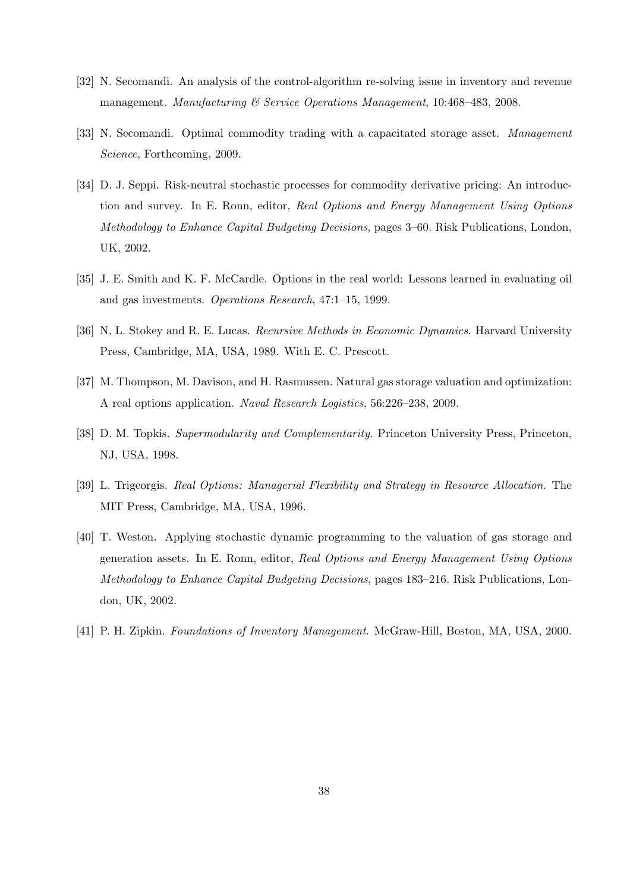- [32] N. Secomandi. An analysis of the control-algorithm re-solving issue in inventory and revenue management. Manufacturing & Service Operations Management, 10:468-483, 2008.
- [33] N. Secomandi. Optimal commodity trading with a capacitated storage asset. Management Science, Forthcoming, 2009.
- [34] D. J. Seppi. Risk-neutral stochastic processes for commodity derivative pricing: An introduction and survey. In E. Ronn, editor, Real Options and Energy Management Using Options Methodology to Enhance Capital Budgeting Decisions, pages 3–60. Risk Publications, London, UK, 2002.
- [35] J. E. Smith and K. F. McCardle. Options in the real world: Lessons learned in evaluating oil and gas investments. Operations Research, 47:1–15, 1999.
- [36] N. L. Stokey and R. E. Lucas. *Recursive Methods in Economic Dynamics*. Harvard University Press, Cambridge, MA, USA, 1989. With E. C. Prescott.
- [37] M. Thompson, M. Davison, and H. Rasmussen. Natural gas storage valuation and optimization: A real options application. Naval Research Logistics, 56:226–238, 2009.
- [38] D. M. Topkis. Supermodularity and Complementarity. Princeton University Press, Princeton, NJ, USA, 1998.
- [39] L. Trigeorgis. Real Options: Managerial Flexibility and Strategy in Resource Allocation. The MIT Press, Cambridge, MA, USA, 1996.
- [40] T. Weston. Applying stochastic dynamic programming to the valuation of gas storage and generation assets. In E. Ronn, editor, Real Options and Energy Management Using Options Methodology to Enhance Capital Budgeting Decisions, pages 183–216. Risk Publications, London, UK, 2002.
- [41] P. H. Zipkin. Foundations of Inventory Management. McGraw-Hill, Boston, MA, USA, 2000.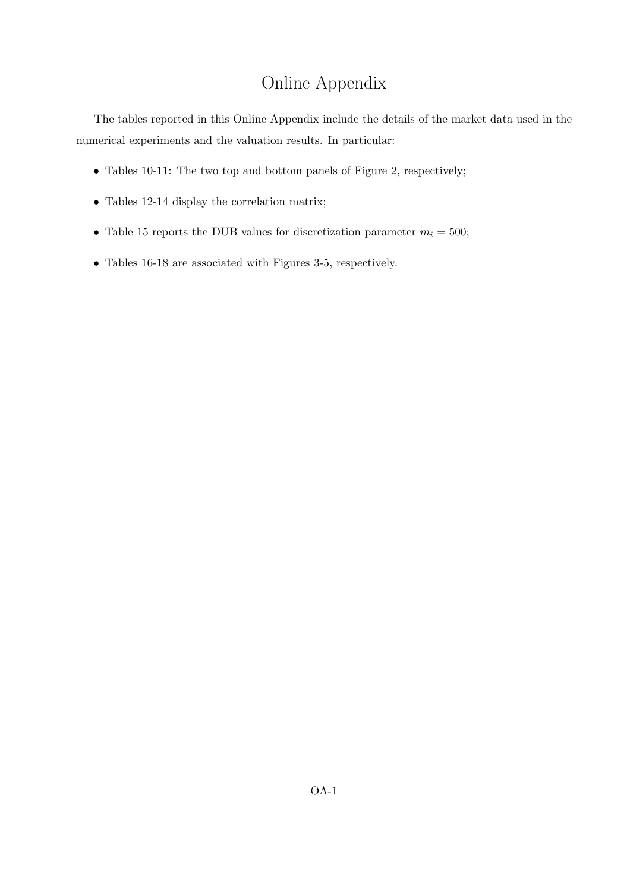# Online Appendix

The tables reported in this Online Appendix include the details of the market data used in the numerical experiments and the valuation results. In particular:

- Tables 10-11: The two top and bottom panels of Figure 2, respectively;
- Tables 12-14 display the correlation matrix;
- Table 15 reports the DUB values for discretization parameter  $m_i = 500$ ;
- Tables 16-18 are associated with Figures 3-5, respectively.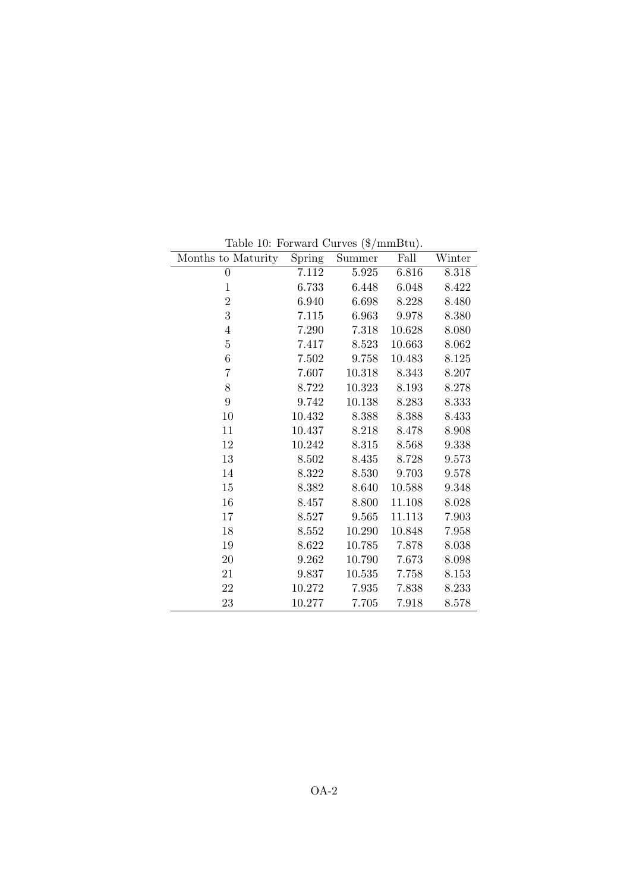| Months to Maturity | Spring | Summer    | Fall   | Winter |
|--------------------|--------|-----------|--------|--------|
| $\boldsymbol{0}$   | 7.112  | $5.925\,$ | 6.816  | 8.318  |
| $\mathbf{1}$       | 6.733  | 6.448     | 6.048  | 8.422  |
| $\sqrt{2}$         | 6.940  | 6.698     | 8.228  | 8.480  |
| 3                  | 7.115  | 6.963     | 9.978  | 8.380  |
| $\,4\,$            | 7.290  | 7.318     | 10.628 | 8.080  |
| $\overline{5}$     | 7.417  | 8.523     | 10.663 | 8.062  |
| 6                  | 7.502  | 9.758     | 10.483 | 8.125  |
| $\overline{7}$     | 7.607  | 10.318    | 8.343  | 8.207  |
| 8                  | 8.722  | 10.323    | 8.193  | 8.278  |
| $9\phantom{.0}$    | 9.742  | 10.138    | 8.283  | 8.333  |
| 10                 | 10.432 | 8.388     | 8.388  | 8.433  |
| 11                 | 10.437 | 8.218     | 8.478  | 8.908  |
| 12                 | 10.242 | 8.315     | 8.568  | 9.338  |
| 13                 | 8.502  | 8.435     | 8.728  | 9.573  |
| 14                 | 8.322  | 8.530     | 9.703  | 9.578  |
| 15                 | 8.382  | 8.640     | 10.588 | 9.348  |
| 16                 | 8.457  | 8.800     | 11.108 | 8.028  |
| 17                 | 8.527  | 9.565     | 11.113 | 7.903  |
| 18                 | 8.552  | 10.290    | 10.848 | 7.958  |
| 19                 | 8.622  | 10.785    | 7.878  | 8.038  |
| 20                 | 9.262  | 10.790    | 7.673  | 8.098  |
| 21                 | 9.837  | 10.535    | 7.758  | 8.153  |
| $22\,$             | 10.272 | 7.935     | 7.838  | 8.233  |
| 23                 | 10.277 | 7.705     | 7.918  | 8.578  |

Table 10: Forward Curves (\$/mmBtu).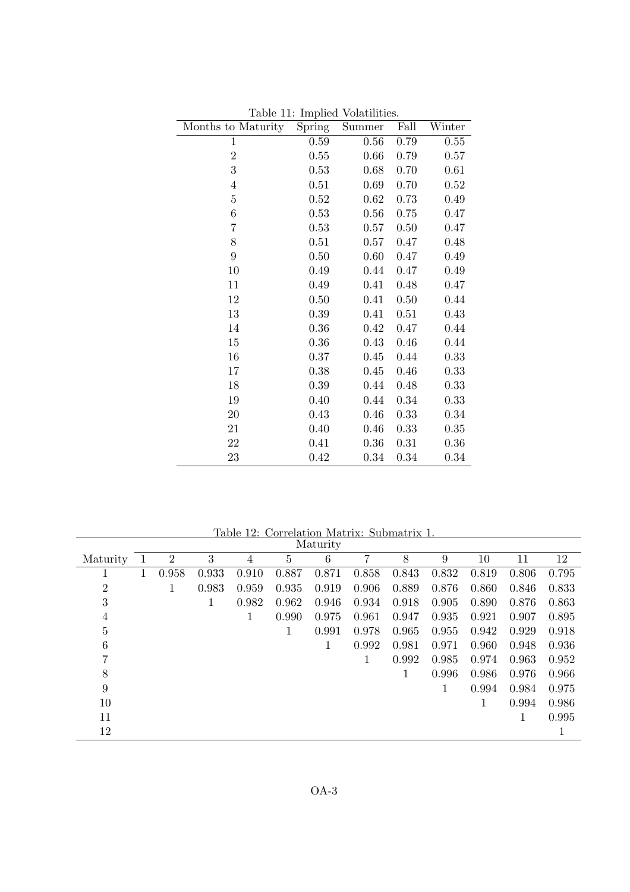| Months to Maturity | <b>Spring</b> | таме 11. пирней топанныем.<br>Summer | Fall | Winter   |
|--------------------|---------------|--------------------------------------|------|----------|
| $\mathbf{1}$       | $0.59\,$      | 0.56                                 | 0.79 | 0.55     |
| $\overline{2}$     | 0.55          | 0.66                                 | 0.79 | 0.57     |
| 3                  | 0.53          | 0.68                                 | 0.70 | 0.61     |
| $\overline{4}$     | 0.51          | 0.69                                 | 0.70 | 0.52     |
| $\mathbf 5$        | $0.52\,$      | 0.62                                 | 0.73 | 0.49     |
| 6                  | 0.53          | 0.56                                 | 0.75 | $0.47\,$ |
| 7                  | 0.53          | 0.57                                 | 0.50 | 0.47     |
| 8                  | 0.51          | 0.57                                 | 0.47 | 0.48     |
| $\boldsymbol{9}$   | 0.50          | 0.60                                 | 0.47 | 0.49     |
| 10                 | 0.49          | 0.44                                 | 0.47 | 0.49     |
| 11                 | 0.49          | 0.41                                 | 0.48 | 0.47     |
| 12                 | 0.50          | 0.41                                 | 0.50 | 0.44     |
| 13                 | 0.39          | 0.41                                 | 0.51 | 0.43     |
| 14                 | 0.36          | 0.42                                 | 0.47 | 0.44     |
| 15                 | 0.36          | 0.43                                 | 0.46 | 0.44     |
| 16                 | 0.37          | 0.45                                 | 0.44 | 0.33     |
| 17                 | 0.38          | 0.45                                 | 0.46 | 0.33     |
| 18                 | 0.39          | 0.44                                 | 0.48 | 0.33     |
| 19                 | 0.40          | 0.44                                 | 0.34 | 0.33     |
| 20                 | 0.43          | 0.46                                 | 0.33 | 0.34     |
| 21                 | 0.40          | 0.46                                 | 0.33 | 0.35     |
| 22                 | 0.41          | 0.36                                 | 0.31 | 0.36     |
| 23                 | 0.42          | 0.34                                 | 0.34 | 0.34     |

Table 11: Implied Volatilities.

|                  |                |       |       | rable 12: Correlation Matrix: Submatrix 1. |       |       |       |       |       |       |       |       |
|------------------|----------------|-------|-------|--------------------------------------------|-------|-------|-------|-------|-------|-------|-------|-------|
|                  | Maturity       |       |       |                                            |       |       |       |       |       |       |       |       |
| Maturity         | $\overline{1}$ | 2     | 3     | 4                                          | 5     | 6     |       | 8     | 9     | 10    | 11    | 12    |
|                  | 1              | 0.958 | 0.933 | 0.910                                      | 0.887 | 0.871 | 0.858 | 0.843 | 0.832 | 0.819 | 0.806 | 0.795 |
| 2                |                | 1     | 0.983 | 0.959                                      | 0.935 | 0.919 | 0.906 | 0.889 | 0.876 | 0.860 | 0.846 | 0.833 |
| 3                |                |       | T     | 0.982                                      | 0.962 | 0.946 | 0.934 | 0.918 | 0.905 | 0.890 | 0.876 | 0.863 |
| 4                |                |       |       |                                            | 0.990 | 0.975 | 0.961 | 0.947 | 0.935 | 0.921 | 0.907 | 0.895 |
| 5                |                |       |       |                                            |       | 0.991 | 0.978 | 0.965 | 0.955 | 0.942 | 0.929 | 0.918 |
| $\boldsymbol{6}$ |                |       |       |                                            |       | 1     | 0.992 | 0.981 | 0.971 | 0.960 | 0.948 | 0.936 |
| 7                |                |       |       |                                            |       |       |       | 0.992 | 0.985 | 0.974 | 0.963 | 0.952 |
| 8                |                |       |       |                                            |       |       |       |       | 0.996 | 0.986 | 0.976 | 0.966 |
| 9                |                |       |       |                                            |       |       |       |       | 1     | 0.994 | 0.984 | 0.975 |
| 10               |                |       |       |                                            |       |       |       |       |       | 1     | 0.994 | 0.986 |
| 11               |                |       |       |                                            |       |       |       |       |       |       |       | 0.995 |
| 12               |                |       |       |                                            |       |       |       |       |       |       |       |       |

Table 12: Correlation Matrix: Submatrix 1.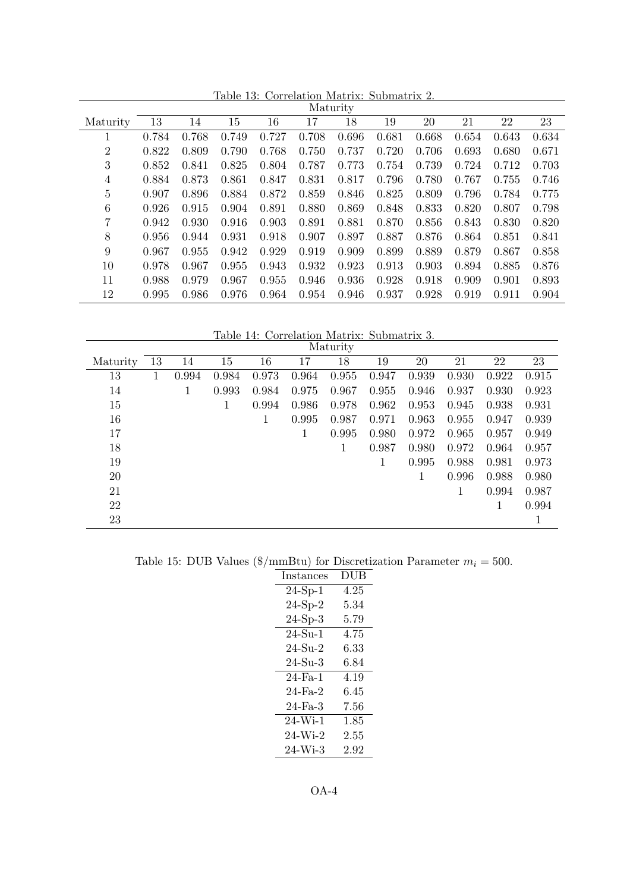|                |       |       |       |       |       | Maturity |       |       |       |       |       |
|----------------|-------|-------|-------|-------|-------|----------|-------|-------|-------|-------|-------|
| Maturity       | 13    | 14    | 15    | 16    | 17    | 18       | 19    | 20    | 21    | 22    | 23    |
| 1              | 0.784 | 0.768 | 0.749 | 0.727 | 0.708 | 0.696    | 0.681 | 0.668 | 0.654 | 0.643 | 0.634 |
| $\overline{2}$ | 0.822 | 0.809 | 0.790 | 0.768 | 0.750 | 0.737    | 0.720 | 0.706 | 0.693 | 0.680 | 0.671 |
| 3              | 0.852 | 0.841 | 0.825 | 0.804 | 0.787 | 0.773    | 0.754 | 0.739 | 0.724 | 0.712 | 0.703 |
| $\overline{4}$ | 0.884 | 0.873 | 0.861 | 0.847 | 0.831 | 0.817    | 0.796 | 0.780 | 0.767 | 0.755 | 0.746 |
| $\overline{5}$ | 0.907 | 0.896 | 0.884 | 0.872 | 0.859 | 0.846    | 0.825 | 0.809 | 0.796 | 0.784 | 0.775 |
| 6              | 0.926 | 0.915 | 0.904 | 0.891 | 0.880 | 0.869    | 0.848 | 0.833 | 0.820 | 0.807 | 0.798 |
| 7              | 0.942 | 0.930 | 0.916 | 0.903 | 0.891 | 0.881    | 0.870 | 0.856 | 0.843 | 0.830 | 0.820 |
| 8              | 0.956 | 0.944 | 0.931 | 0.918 | 0.907 | 0.897    | 0.887 | 0.876 | 0.864 | 0.851 | 0.841 |
| 9              | 0.967 | 0.955 | 0.942 | 0.929 | 0.919 | 0.909    | 0.899 | 0.889 | 0.879 | 0.867 | 0.858 |
| 10             | 0.978 | 0.967 | 0.955 | 0.943 | 0.932 | 0.923    | 0.913 | 0.903 | 0.894 | 0.885 | 0.876 |
| 11             | 0.988 | 0.979 | 0.967 | 0.955 | 0.946 | 0.936    | 0.928 | 0.918 | 0.909 | 0.901 | 0.893 |
| 12             | 0.995 | 0.986 | 0.976 | 0.964 | 0.954 | 0.946    | 0.937 | 0.928 | 0.919 | 0.911 | 0.904 |

Table 13: Correlation Matrix: Submatrix 2.

Table 14: Correlation Matrix: Submatrix 3.

|          |    |       |       |       |       | Maturity |       |       |       |       |       |
|----------|----|-------|-------|-------|-------|----------|-------|-------|-------|-------|-------|
| Maturity | 13 | 14    | 15    | 16    | 17    | 18       | 19    | 20    | 21    | 22    | 23    |
| 13       |    | 0.994 | 0.984 | 0.973 | 0.964 | 0.955    | 0.947 | 0.939 | 0.930 | 0.922 | 0.915 |
| 14       |    | 1     | 0.993 | 0.984 | 0.975 | 0.967    | 0.955 | 0.946 | 0.937 | 0.930 | 0.923 |
| 15       |    |       | 1     | 0.994 | 0.986 | 0.978    | 0.962 | 0.953 | 0.945 | 0.938 | 0.931 |
| 16       |    |       |       | 1     | 0.995 | 0.987    | 0.971 | 0.963 | 0.955 | 0.947 | 0.939 |
| 17       |    |       |       |       | 1     | 0.995    | 0.980 | 0.972 | 0.965 | 0.957 | 0.949 |
| 18       |    |       |       |       |       | 1        | 0.987 | 0.980 | 0.972 | 0.964 | 0.957 |
| 19       |    |       |       |       |       |          | 1     | 0.995 | 0.988 | 0.981 | 0.973 |
| 20       |    |       |       |       |       |          |       |       | 0.996 | 0.988 | 0.980 |
| 21       |    |       |       |       |       |          |       |       |       | 0.994 | 0.987 |
| 22       |    |       |       |       |       |          |       |       |       | 1     | 0.994 |
| 23       |    |       |       |       |       |          |       |       |       |       | 1     |

Table 15: DUB Values ( $\gamma_{\text{mm}}$ Btu) for Discretization Parameter  $m_i = 500$ .

| Instances         | DUB  |
|-------------------|------|
| $24$ -Sp- $1$     | 4.25 |
| $24$ -Sp- $2$     | 5.34 |
| $24$ -Sp- $3$     | 5.79 |
| $24 - S_{11} - 1$ | 4.75 |
| 24-Su-2           | 6.33 |
| 24-Su-3           | 6.84 |
| $24-Fa-1$         | 4.19 |
| $24$ -Fa-2        | 6.45 |
| $24$ -Fa-3        | 7.56 |
| 24-Wi-1           | 1.85 |
| 24-Wi-2           | 2.55 |
| 24-Wi-3           | 2.92 |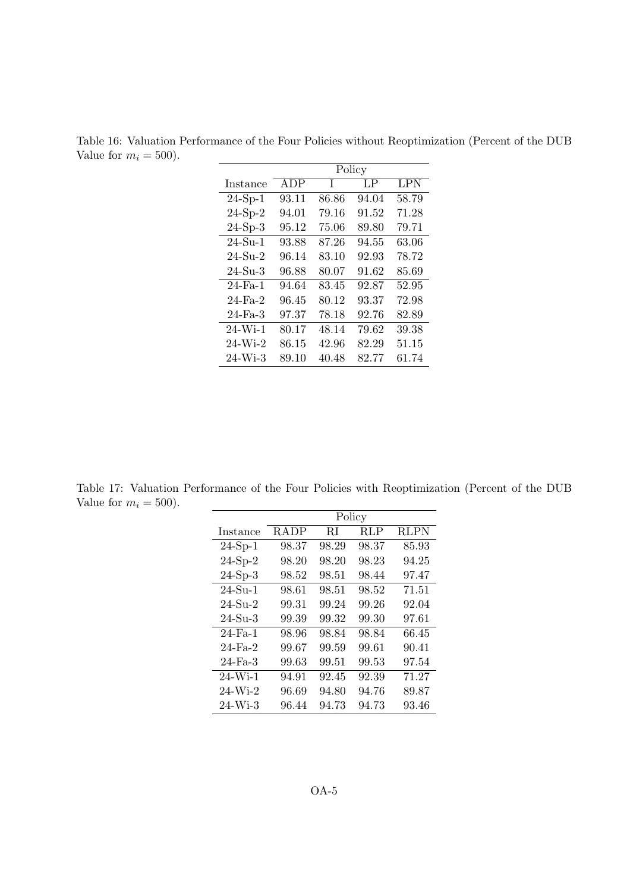|                   | Policy     |       |       |            |  |  |
|-------------------|------------|-------|-------|------------|--|--|
| Instance          | <b>ADP</b> | T     | LP    | <b>LPN</b> |  |  |
| $24-Sp-1$         | 93.11      | 86.86 | 94.04 | 58.79      |  |  |
| $24-Sp-2$         | 94.01      | 79.16 | 91.52 | 71.28      |  |  |
| $24-Sp-3$         | 95.12      | 75.06 | 89.80 | 79.71      |  |  |
| $24-Su-1$         | 93.88      | 87.26 | 94.55 | 63.06      |  |  |
| $24 - S_{11} - 2$ | 96.14      | 83.10 | 92.93 | 78.72      |  |  |
| $24-Su-3$         | 96.88      | 80.07 | 91.62 | 85.69      |  |  |
| $24-Fa-1$         | 94.64      | 83.45 | 92.87 | 52.95      |  |  |
| $24-Fa-2$         | 96.45      | 80.12 | 93.37 | 72.98      |  |  |
| $24-Fa-3$         | 97.37      | 78.18 | 92.76 | 82.89      |  |  |
| $24-Wi-1$         | 80.17      | 48.14 | 79.62 | 39.38      |  |  |
| $24-Wi-2$         | 86.15      | 42.96 | 82.29 | 51.15      |  |  |
| $24-Wi-3$         | 89.10      | 40.48 | 82.77 | 61.74      |  |  |

Table 16: Valuation Performance of the Four Policies without Reoptimization (Percent of the DUB Value for  $m_i = 500$ ).

Table 17: Valuation Performance of the Four Policies with Reoptimization (Percent of the DUB Value for  $m_i = 500$ ). <u> 1989 - Johann Barbara, martin a</u>

|           | Policy |       |            |             |  |  |
|-----------|--------|-------|------------|-------------|--|--|
| Instance  | RADP   | RІ    | <b>RLP</b> | <b>RLPN</b> |  |  |
| $24-Sp-1$ | 98.37  | 98.29 | 98.37      | 85.93       |  |  |
| $24-Sp-2$ | 98.20  | 98.20 | 98.23      | 94.25       |  |  |
| $24-Sp-3$ | 98.52  | 98.51 | 98.44      | 97.47       |  |  |
| $24-Su-1$ | 98.61  | 98.51 | 98.52      | 71.51       |  |  |
| $24-Su-2$ | 99.31  | 99.24 | 99.26      | 92.04       |  |  |
| $24-Su-3$ | 99.39  | 99.32 | 99.30      | 97.61       |  |  |
| $24-Fa-1$ | 98.96  | 98.84 | 98.84      | 66.45       |  |  |
| $24-Fa-2$ | 99.67  | 99.59 | 99.61      | 90.41       |  |  |
| $24-Fa-3$ | 99.63  | 99.51 | 99.53      | 97.54       |  |  |
| $24-Wi-1$ | 94.91  | 92.45 | 92.39      | 71.27       |  |  |
| $24-Wi-2$ | 96.69  | 94.80 | 94.76      | 89.87       |  |  |
| $24-Wi-3$ | 96.44  | 94.73 | 94.73      | 93.46       |  |  |